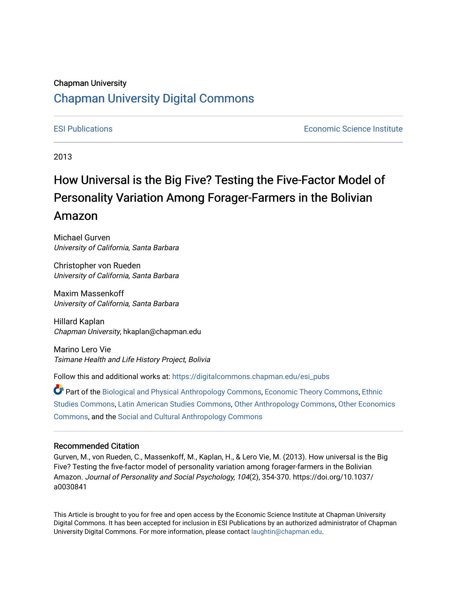#### Chapman University

### [Chapman University Digital Commons](https://digitalcommons.chapman.edu/)

[ESI Publications](https://digitalcommons.chapman.edu/esi_pubs) [Economic Science Institute](https://digitalcommons.chapman.edu/esi) 

2013

### How Universal is the Big Five? Testing the Five-Factor Model of Personality Variation Among Forager-Farmers in the Bolivian Amazon

Michael Gurven University of California, Santa Barbara

Christopher von Rueden University of California, Santa Barbara

Maxim Massenkoff University of California, Santa Barbara

Hillard Kaplan Chapman University, hkaplan@chapman.edu

Marino Lero Vie Tsimane Health and Life History Project, Bolivia

Follow this and additional works at: [https://digitalcommons.chapman.edu/esi\\_pubs](https://digitalcommons.chapman.edu/esi_pubs?utm_source=digitalcommons.chapman.edu%2Fesi_pubs%2F216&utm_medium=PDF&utm_campaign=PDFCoverPages) 

Part of the [Biological and Physical Anthropology Commons](http://network.bepress.com/hgg/discipline/320?utm_source=digitalcommons.chapman.edu%2Fesi_pubs%2F216&utm_medium=PDF&utm_campaign=PDFCoverPages), [Economic Theory Commons,](http://network.bepress.com/hgg/discipline/344?utm_source=digitalcommons.chapman.edu%2Fesi_pubs%2F216&utm_medium=PDF&utm_campaign=PDFCoverPages) [Ethnic](http://network.bepress.com/hgg/discipline/570?utm_source=digitalcommons.chapman.edu%2Fesi_pubs%2F216&utm_medium=PDF&utm_campaign=PDFCoverPages)  [Studies Commons,](http://network.bepress.com/hgg/discipline/570?utm_source=digitalcommons.chapman.edu%2Fesi_pubs%2F216&utm_medium=PDF&utm_campaign=PDFCoverPages) [Latin American Studies Commons,](http://network.bepress.com/hgg/discipline/363?utm_source=digitalcommons.chapman.edu%2Fesi_pubs%2F216&utm_medium=PDF&utm_campaign=PDFCoverPages) [Other Anthropology Commons](http://network.bepress.com/hgg/discipline/324?utm_source=digitalcommons.chapman.edu%2Fesi_pubs%2F216&utm_medium=PDF&utm_campaign=PDFCoverPages), [Other Economics](http://network.bepress.com/hgg/discipline/353?utm_source=digitalcommons.chapman.edu%2Fesi_pubs%2F216&utm_medium=PDF&utm_campaign=PDFCoverPages)  [Commons](http://network.bepress.com/hgg/discipline/353?utm_source=digitalcommons.chapman.edu%2Fesi_pubs%2F216&utm_medium=PDF&utm_campaign=PDFCoverPages), and the [Social and Cultural Anthropology Commons](http://network.bepress.com/hgg/discipline/323?utm_source=digitalcommons.chapman.edu%2Fesi_pubs%2F216&utm_medium=PDF&utm_campaign=PDFCoverPages) 

#### Recommended Citation

Gurven, M., von Rueden, C., Massenkoff, M., Kaplan, H., & Lero Vie, M. (2013). How universal is the Big Five? Testing the five-factor model of personality variation among forager-farmers in the Bolivian Amazon. Journal of Personality and Social Psychology, 104(2), 354-370. https://doi.org/10.1037/ a0030841

This Article is brought to you for free and open access by the Economic Science Institute at Chapman University Digital Commons. It has been accepted for inclusion in ESI Publications by an authorized administrator of Chapman University Digital Commons. For more information, please contact [laughtin@chapman.edu.](mailto:laughtin@chapman.edu)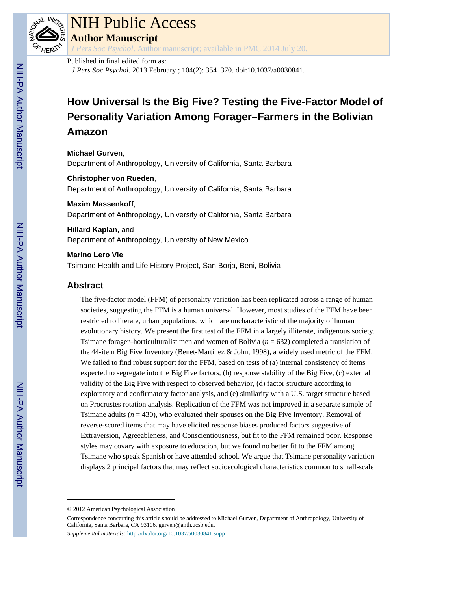

## NIH Public Access

**Author Manuscript**

*J Pers Soc Psychol*. Author manuscript; available in PMC 2014 July 20.

#### Published in final edited form as:

*J Pers Soc Psychol*. 2013 February ; 104(2): 354–370. doi:10.1037/a0030841.

### **How Universal Is the Big Five? Testing the Five-Factor Model of Personality Variation Among Forager–Farmers in the Bolivian Amazon**

**Michael Gurven**, Department of Anthropology, University of California, Santa Barbara

**Christopher von Rueden**, Department of Anthropology, University of California, Santa Barbara

**Maxim Massenkoff**, Department of Anthropology, University of California, Santa Barbara

**Hillard Kaplan**, and Department of Anthropology, University of New Mexico

**Marino Lero Vie** Tsimane Health and Life History Project, San Borja, Beni, Bolivia

### **Abstract**

The five-factor model (FFM) of personality variation has been replicated across a range of human societies, suggesting the FFM is a human universal. However, most studies of the FFM have been restricted to literate, urban populations, which are uncharacteristic of the majority of human evolutionary history. We present the first test of the FFM in a largely illiterate, indigenous society. Tsimane forager–horticulturalist men and women of Bolivia (*n* = 632) completed a translation of the 44-item Big Five Inventory (Benet-Martínez & John, 1998), a widely used metric of the FFM. We failed to find robust support for the FFM, based on tests of (a) internal consistency of items expected to segregate into the Big Five factors, (b) response stability of the Big Five, (c) external validity of the Big Five with respect to observed behavior, (d) factor structure according to exploratory and confirmatory factor analysis, and (e) similarity with a U.S. target structure based on Procrustes rotation analysis. Replication of the FFM was not improved in a separate sample of Tsimane adults (*n* = 430), who evaluated their spouses on the Big Five Inventory. Removal of reverse-scored items that may have elicited response biases produced factors suggestive of Extraversion, Agreeableness, and Conscientiousness, but fit to the FFM remained poor. Response styles may covary with exposure to education, but we found no better fit to the FFM among Tsimane who speak Spanish or have attended school. We argue that Tsimane personality variation displays 2 principal factors that may reflect socioecological characteristics common to small-scale

<sup>© 2012</sup> American Psychological Association

Correspondence concerning this article should be addressed to Michael Gurven, Department of Anthropology, University of California, Santa Barbara, CA 93106. gurven@anth.ucsb.edu.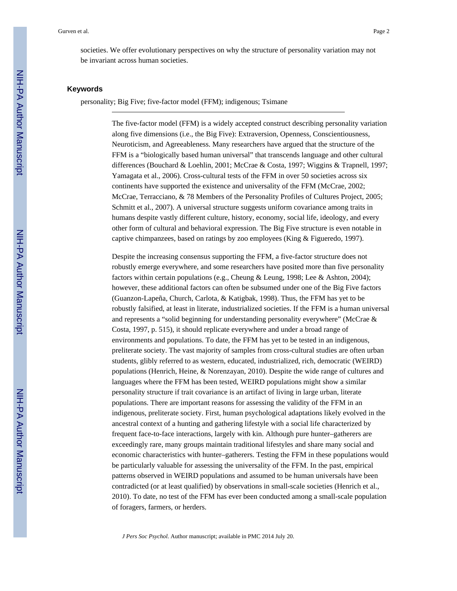societies. We offer evolutionary perspectives on why the structure of personality variation may not be invariant across human societies.

#### **Keywords**

personality; Big Five; five-factor model (FFM); indigenous; Tsimane

The five-factor model (FFM) is a widely accepted construct describing personality variation along five dimensions (i.e., the Big Five): Extraversion, Openness, Conscientiousness, Neuroticism, and Agreeableness. Many researchers have argued that the structure of the FFM is a "biologically based human universal" that transcends language and other cultural differences (Bouchard & Loehlin, 2001; McCrae & Costa, 1997; Wiggins & Trapnell, 1997; Yamagata et al., 2006). Cross-cultural tests of the FFM in over 50 societies across six continents have supported the existence and universality of the FFM (McCrae, 2002; McCrae, Terracciano, & 78 Members of the Personality Profiles of Cultures Project, 2005; Schmitt et al., 2007). A universal structure suggests uniform covariance among traits in humans despite vastly different culture, history, economy, social life, ideology, and every other form of cultural and behavioral expression. The Big Five structure is even notable in captive chimpanzees, based on ratings by zoo employees (King & Figueredo, 1997).

Despite the increasing consensus supporting the FFM, a five-factor structure does not robustly emerge everywhere, and some researchers have posited more than five personality factors within certain populations (e.g., Cheung & Leung, 1998; Lee & Ashton, 2004); however, these additional factors can often be subsumed under one of the Big Five factors (Guanzon-Lapeña, Church, Carlota, & Katigbak, 1998). Thus, the FFM has yet to be robustly falsified, at least in literate, industrialized societies. If the FFM is a human universal and represents a "solid beginning for understanding personality everywhere" (McCrae & Costa, 1997, p. 515), it should replicate everywhere and under a broad range of environments and populations. To date, the FFM has yet to be tested in an indigenous, preliterate society. The vast majority of samples from cross-cultural studies are often urban students, glibly referred to as western, educated, industrialized, rich, democratic (WEIRD) populations (Henrich, Heine, & Norenzayan, 2010). Despite the wide range of cultures and languages where the FFM has been tested, WEIRD populations might show a similar personality structure if trait covariance is an artifact of living in large urban, literate populations. There are important reasons for assessing the validity of the FFM in an indigenous, preliterate society. First, human psychological adaptations likely evolved in the ancestral context of a hunting and gathering lifestyle with a social life characterized by frequent face-to-face interactions, largely with kin. Although pure hunter–gatherers are exceedingly rare, many groups maintain traditional lifestyles and share many social and economic characteristics with hunter–gatherers. Testing the FFM in these populations would be particularly valuable for assessing the universality of the FFM. In the past, empirical patterns observed in WEIRD populations and assumed to be human universals have been contradicted (or at least qualified) by observations in small-scale societies (Henrich et al., 2010). To date, no test of the FFM has ever been conducted among a small-scale population of foragers, farmers, or herders.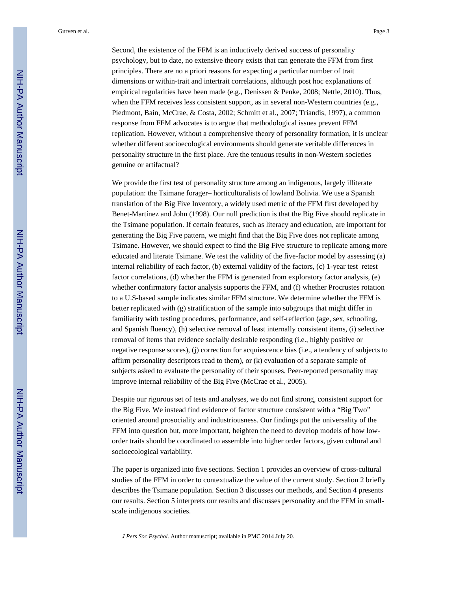Second, the existence of the FFM is an inductively derived success of personality psychology, but to date, no extensive theory exists that can generate the FFM from first principles. There are no a priori reasons for expecting a particular number of trait dimensions or within-trait and intertrait correlations, although post hoc explanations of empirical regularities have been made (e.g., Denissen & Penke, 2008; Nettle, 2010). Thus, when the FFM receives less consistent support, as in several non-Western countries (e.g., Piedmont, Bain, McCrae, & Costa, 2002; Schmitt et al., 2007; Triandis, 1997), a common response from FFM advocates is to argue that methodological issues prevent FFM replication. However, without a comprehensive theory of personality formation, it is unclear whether different socioecological environments should generate veritable differences in personality structure in the first place. Are the tenuous results in non-Western societies genuine or artifactual?

We provide the first test of personality structure among an indigenous, largely illiterate population: the Tsimane forager– horticulturalists of lowland Bolivia. We use a Spanish translation of the Big Five Inventory, a widely used metric of the FFM first developed by Benet-Martínez and John (1998). Our null prediction is that the Big Five should replicate in the Tsimane population. If certain features, such as literacy and education, are important for generating the Big Five pattern, we might find that the Big Five does not replicate among Tsimane. However, we should expect to find the Big Five structure to replicate among more educated and literate Tsimane. We test the validity of the five-factor model by assessing (a) internal reliability of each factor, (b) external validity of the factors, (c) 1-year test–retest factor correlations, (d) whether the FFM is generated from exploratory factor analysis, (e) whether confirmatory factor analysis supports the FFM, and (f) whether Procrustes rotation to a U.S-based sample indicates similar FFM structure. We determine whether the FFM is better replicated with (g) stratification of the sample into subgroups that might differ in familiarity with testing procedures, performance, and self-reflection (age, sex, schooling, and Spanish fluency), (h) selective removal of least internally consistent items, (i) selective removal of items that evidence socially desirable responding (i.e., highly positive or negative response scores), (j) correction for acquiescence bias (i.e., a tendency of subjects to affirm personality descriptors read to them), or (k) evaluation of a separate sample of subjects asked to evaluate the personality of their spouses. Peer-reported personality may improve internal reliability of the Big Five (McCrae et al., 2005).

Despite our rigorous set of tests and analyses, we do not find strong, consistent support for the Big Five. We instead find evidence of factor structure consistent with a "Big Two" oriented around prosociality and industriousness. Our findings put the universality of the FFM into question but, more important, heighten the need to develop models of how loworder traits should be coordinated to assemble into higher order factors, given cultural and socioecological variability.

The paper is organized into five sections. Section 1 provides an overview of cross-cultural studies of the FFM in order to contextualize the value of the current study. Section 2 briefly describes the Tsimane population. Section 3 discusses our methods, and Section 4 presents our results. Section 5 interprets our results and discusses personality and the FFM in smallscale indigenous societies.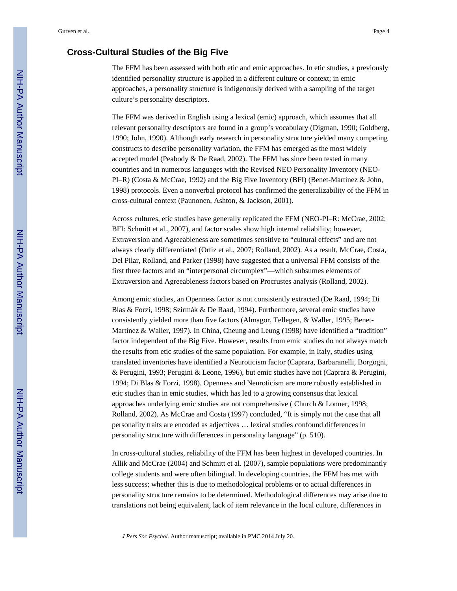#### **Cross-Cultural Studies of the Big Five**

The FFM has been assessed with both etic and emic approaches. In etic studies, a previously identified personality structure is applied in a different culture or context; in emic approaches, a personality structure is indigenously derived with a sampling of the target culture's personality descriptors.

The FFM was derived in English using a lexical (emic) approach, which assumes that all relevant personality descriptors are found in a group's vocabulary (Digman, 1990; Goldberg, 1990; John, 1990). Although early research in personality structure yielded many competing constructs to describe personality variation, the FFM has emerged as the most widely accepted model (Peabody & De Raad, 2002). The FFM has since been tested in many countries and in numerous languages with the Revised NEO Personality Inventory (NEO-PI–R) (Costa & McCrae, 1992) and the Big Five Inventory (BFI) (Benet-Martínez & John, 1998) protocols. Even a nonverbal protocol has confirmed the generalizability of the FFM in cross-cultural context (Paunonen, Ashton, & Jackson, 2001).

Across cultures, etic studies have generally replicated the FFM (NEO-PI–R: McCrae, 2002; BFI: Schmitt et al., 2007), and factor scales show high internal reliability; however, Extraversion and Agreeableness are sometimes sensitive to "cultural effects" and are not always clearly differentiated (Ortiz et al., 2007; Rolland, 2002). As a result, McCrae, Costa, Del Pilar, Rolland, and Parker (1998) have suggested that a universal FFM consists of the first three factors and an "interpersonal circumplex"—which subsumes elements of Extraversion and Agreeableness factors based on Procrustes analysis (Rolland, 2002).

Among emic studies, an Openness factor is not consistently extracted (De Raad, 1994; Di Blas & Forzi, 1998; Szirmák & De Raad, 1994). Furthermore, several emic studies have consistently yielded more than five factors (Almagor, Tellegen, & Waller, 1995; Benet-Martínez & Waller, 1997). In China, Cheung and Leung (1998) have identified a "tradition" factor independent of the Big Five. However, results from emic studies do not always match the results from etic studies of the same population. For example, in Italy, studies using translated inventories have identified a Neuroticism factor (Caprara, Barbaranelli, Borgogni, & Perugini, 1993; Perugini & Leone, 1996), but emic studies have not (Caprara & Perugini, 1994; Di Blas & Forzi, 1998). Openness and Neuroticism are more robustly established in etic studies than in emic studies, which has led to a growing consensus that lexical approaches underlying emic studies are not comprehensive ( Church & Lonner, 1998; Rolland, 2002). As McCrae and Costa (1997) concluded, "It is simply not the case that all personality traits are encoded as adjectives … lexical studies confound differences in personality structure with differences in personality language" (p. 510).

In cross-cultural studies, reliability of the FFM has been highest in developed countries. In Allik and McCrae (2004) and Schmitt et al. (2007), sample populations were predominantly college students and were often bilingual. In developing countries, the FFM has met with less success; whether this is due to methodological problems or to actual differences in personality structure remains to be determined. Methodological differences may arise due to translations not being equivalent, lack of item relevance in the local culture, differences in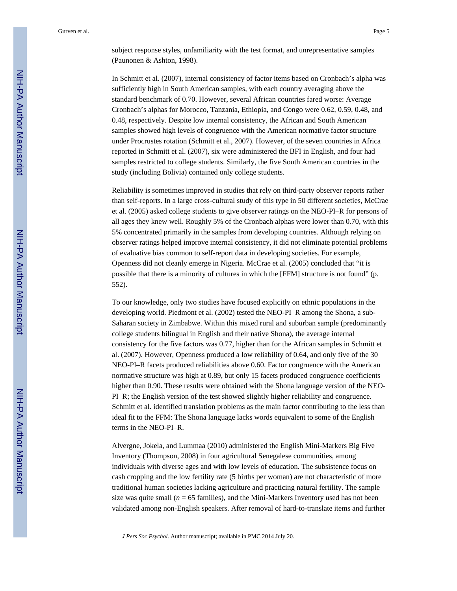subject response styles, unfamiliarity with the test format, and unrepresentative samples (Paunonen & Ashton, 1998).

In Schmitt et al. (2007), internal consistency of factor items based on Cronbach's alpha was sufficiently high in South American samples, with each country averaging above the standard benchmark of 0.70. However, several African countries fared worse: Average Cronbach's alphas for Morocco, Tanzania, Ethiopia, and Congo were 0.62, 0.59, 0.48, and 0.48, respectively. Despite low internal consistency, the African and South American samples showed high levels of congruence with the American normative factor structure under Procrustes rotation (Schmitt et al., 2007). However, of the seven countries in Africa reported in Schmitt et al. (2007), six were administered the BFI in English, and four had samples restricted to college students. Similarly, the five South American countries in the study (including Bolivia) contained only college students.

Reliability is sometimes improved in studies that rely on third-party observer reports rather than self-reports. In a large cross-cultural study of this type in 50 different societies, McCrae et al. (2005) asked college students to give observer ratings on the NEO-PI–R for persons of all ages they knew well. Roughly 5% of the Cronbach alphas were lower than 0.70, with this 5% concentrated primarily in the samples from developing countries. Although relying on observer ratings helped improve internal consistency, it did not eliminate potential problems of evaluative bias common to self-report data in developing societies. For example, Openness did not cleanly emerge in Nigeria. McCrae et al. (2005) concluded that "it is possible that there is a minority of cultures in which the [FFM] structure is not found" (p. 552).

To our knowledge, only two studies have focused explicitly on ethnic populations in the developing world. Piedmont et al. (2002) tested the NEO-PI–R among the Shona, a sub-Saharan society in Zimbabwe. Within this mixed rural and suburban sample (predominantly college students bilingual in English and their native Shona), the average internal consistency for the five factors was 0.77, higher than for the African samples in Schmitt et al. (2007). However, Openness produced a low reliability of 0.64, and only five of the 30 NEO-PI–R facets produced reliabilities above 0.60. Factor congruence with the American normative structure was high at 0.89, but only 15 facets produced congruence coefficients higher than 0.90. These results were obtained with the Shona language version of the NEO-PI–R; the English version of the test showed slightly higher reliability and congruence. Schmitt et al. identified translation problems as the main factor contributing to the less than ideal fit to the FFM: The Shona language lacks words equivalent to some of the English terms in the NEO-PI–R.

Alvergne, Jokela, and Lummaa (2010) administered the English Mini-Markers Big Five Inventory (Thompson, 2008) in four agricultural Senegalese communities, among individuals with diverse ages and with low levels of education. The subsistence focus on cash cropping and the low fertility rate (5 births per woman) are not characteristic of more traditional human societies lacking agriculture and practicing natural fertility. The sample size was quite small ( $n = 65$  families), and the Mini-Markers Inventory used has not been validated among non-English speakers. After removal of hard-to-translate items and further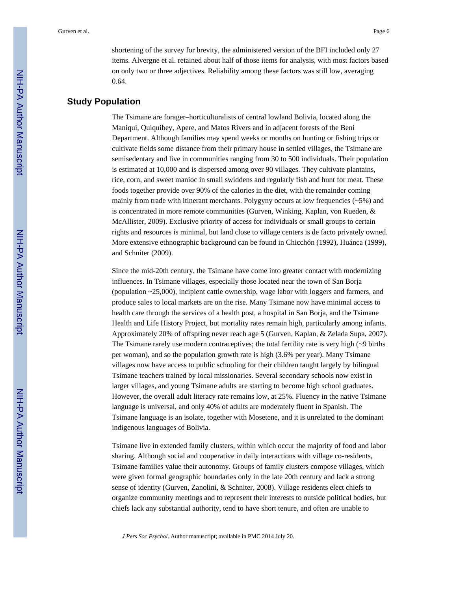shortening of the survey for brevity, the administered version of the BFI included only 27 items. Alvergne et al. retained about half of those items for analysis, with most factors based on only two or three adjectives. Reliability among these factors was still low, averaging 0.64.

#### **Study Population**

The Tsimane are forager–horticulturalists of central lowland Bolivia, located along the Maniqui, Quiquibey, Apere, and Matos Rivers and in adjacent forests of the Beni Department. Although families may spend weeks or months on hunting or fishing trips or cultivate fields some distance from their primary house in settled villages, the Tsimane are semisedentary and live in communities ranging from 30 to 500 individuals. Their population is estimated at 10,000 and is dispersed among over 90 villages. They cultivate plantains, rice, corn, and sweet manioc in small swiddens and regularly fish and hunt for meat. These foods together provide over 90% of the calories in the diet, with the remainder coming mainly from trade with itinerant merchants. Polygyny occurs at low frequencies  $(-5\%)$  and is concentrated in more remote communities (Gurven, Winking, Kaplan, von Rueden, & McAllister, 2009). Exclusive priority of access for individuals or small groups to certain rights and resources is minimal, but land close to village centers is de facto privately owned. More extensive ethnographic background can be found in Chicchón (1992), Huánca (1999), and Schniter (2009).

Since the mid-20th century, the Tsimane have come into greater contact with modernizing influences. In Tsimane villages, especially those located near the town of San Borja (population ~25,000), incipient cattle ownership, wage labor with loggers and farmers, and produce sales to local markets are on the rise. Many Tsimane now have minimal access to health care through the services of a health post, a hospital in San Borja, and the Tsimane Health and Life History Project, but mortality rates remain high, particularly among infants. Approximately 20% of offspring never reach age 5 (Gurven, Kaplan, & Zelada Supa, 2007). The Tsimane rarely use modern contraceptives; the total fertility rate is very high (~9 births per woman), and so the population growth rate is high (3.6% per year). Many Tsimane villages now have access to public schooling for their children taught largely by bilingual Tsimane teachers trained by local missionaries. Several secondary schools now exist in larger villages, and young Tsimane adults are starting to become high school graduates. However, the overall adult literacy rate remains low, at 25%. Fluency in the native Tsimane language is universal, and only 40% of adults are moderately fluent in Spanish. The Tsimane language is an isolate, together with Mosetene, and it is unrelated to the dominant indigenous languages of Bolivia.

Tsimane live in extended family clusters, within which occur the majority of food and labor sharing. Although social and cooperative in daily interactions with village co-residents, Tsimane families value their autonomy. Groups of family clusters compose villages, which were given formal geographic boundaries only in the late 20th century and lack a strong sense of identity (Gurven, Zanolini, & Schniter, 2008). Village residents elect chiefs to organize community meetings and to represent their interests to outside political bodies, but chiefs lack any substantial authority, tend to have short tenure, and often are unable to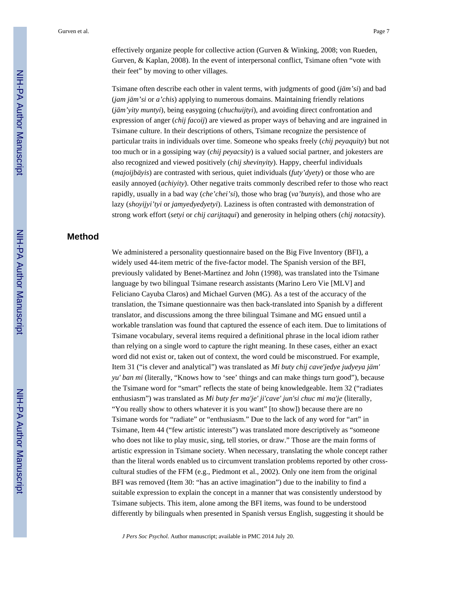effectively organize people for collective action (Gurven & Winking, 2008; von Rueden, Gurven, & Kaplan, 2008). In the event of interpersonal conflict, Tsimane often "vote with their feet" by moving to other villages.

Tsimane often describe each other in valent terms, with judgments of good (*jäm'si*) and bad (*jam jäm'si* or *a'chis*) applying to numerous domains. Maintaining friendly relations (*jäm'yity muntyi*), being easygoing (*chuchuijtyi*), and avoiding direct confrontation and expression of anger (*chij facoij*) are viewed as proper ways of behaving and are ingrained in Tsimane culture. In their descriptions of others, Tsimane recognize the persistence of particular traits in individuals over time. Someone who speaks freely (*chij peyaquity*) but not too much or in a gossiping way (*chij peyacsity*) is a valued social partner, and jokesters are also recognized and viewed positively (*chij shevinyity*). Happy, cheerful individuals (*majoijbäyis*) are contrasted with serious, quiet individuals (*futy'dyety*) or those who are easily annoyed (*achiyity*). Other negative traits commonly described refer to those who react rapidly, usually in a bad way (*che'chei'si*), those who brag (*va'bunyis*), and those who are lazy (*shoyijyi'tyi* or *jamyedyedyetyi*). Laziness is often contrasted with demonstration of strong work effort (*setyi* or *chij carijtaqui*) and generosity in helping others (*chij notacsity*).

#### **Method**

We administered a personality questionnaire based on the Big Five Inventory (BFI), a widely used 44-item metric of the five-factor model. The Spanish version of the BFI, previously validated by Benet-Martínez and John (1998), was translated into the Tsimane language by two bilingual Tsimane research assistants (Marino Lero Vie [MLV] and Feliciano Cayuba Claros) and Michael Gurven (MG). As a test of the accuracy of the translation, the Tsimane questionnaire was then back-translated into Spanish by a different translator, and discussions among the three bilingual Tsimane and MG ensued until a workable translation was found that captured the essence of each item. Due to limitations of Tsimane vocabulary, several items required a definitional phrase in the local idiom rather than relying on a single word to capture the right meaning. In these cases, either an exact word did not exist or, taken out of context, the word could be misconstrued. For example, Item 31 ("is clever and analytical") was translated as *Mi buty chij cave'jedye judyeya jäm' yu' ban mi* (literally, "Knows how to 'see' things and can make things turn good"), because the Tsimane word for "smart" reflects the state of being knowledgeable. Item 32 ("radiates enthusiasm") was translated as *Mi buty fer ma'je' ji'cave' jun'si chuc mi ma'je* (literally, "You really show to others whatever it is you want" [to show]) because there are no Tsimane words for "radiate" or "enthusiasm." Due to the lack of any word for "art" in Tsimane, Item 44 ("few artistic interests") was translated more descriptively as "someone who does not like to play music, sing, tell stories, or draw." Those are the main forms of artistic expression in Tsimane society. When necessary, translating the whole concept rather than the literal words enabled us to circumvent translation problems reported by other crosscultural studies of the FFM (e.g., Piedmont et al., 2002). Only one item from the original BFI was removed (Item 30: "has an active imagination") due to the inability to find a suitable expression to explain the concept in a manner that was consistently understood by Tsimane subjects. This item, alone among the BFI items, was found to be understood differently by bilinguals when presented in Spanish versus English, suggesting it should be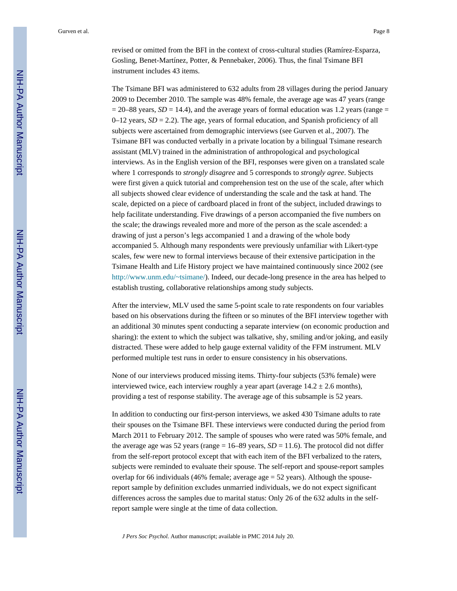revised or omitted from the BFI in the context of cross-cultural studies (Ramírez-Esparza, Gosling, Benet-Martínez, Potter, & Pennebaker, 2006). Thus, the final Tsimane BFI instrument includes 43 items.

The Tsimane BFI was administered to 632 adults from 28 villages during the period January 2009 to December 2010. The sample was 48% female, the average age was 47 years (range  $= 20-88$  years,  $SD = 14.4$ ), and the average years of formal education was 1.2 years (range  $=$  $0-12$  years,  $SD = 2.2$ ). The age, years of formal education, and Spanish proficiency of all subjects were ascertained from demographic interviews (see Gurven et al., 2007). The Tsimane BFI was conducted verbally in a private location by a bilingual Tsimane research assistant (MLV) trained in the administration of anthropological and psychological interviews. As in the English version of the BFI, responses were given on a translated scale where 1 corresponds to *strongly disagree* and 5 corresponds to *strongly agree*. Subjects were first given a quick tutorial and comprehension test on the use of the scale, after which all subjects showed clear evidence of understanding the scale and the task at hand. The scale, depicted on a piece of cardboard placed in front of the subject, included drawings to help facilitate understanding. Five drawings of a person accompanied the five numbers on the scale; the drawings revealed more and more of the person as the scale ascended: a drawing of just a person's legs accompanied 1 and a drawing of the whole body accompanied 5. Although many respondents were previously unfamiliar with Likert-type scales, few were new to formal interviews because of their extensive participation in the Tsimane Health and Life History project we have maintained continuously since 2002 (see [http://www.unm.edu/~tsimane/\)](http://www.unm.edu/~tsimane/). Indeed, our decade-long presence in the area has helped to establish trusting, collaborative relationships among study subjects.

After the interview, MLV used the same 5-point scale to rate respondents on four variables based on his observations during the fifteen or so minutes of the BFI interview together with an additional 30 minutes spent conducting a separate interview (on economic production and sharing): the extent to which the subject was talkative, shy, smiling and/or joking, and easily distracted. These were added to help gauge external validity of the FFM instrument. MLV performed multiple test runs in order to ensure consistency in his observations.

None of our interviews produced missing items. Thirty-four subjects (53% female) were interviewed twice, each interview roughly a year apart (average  $14.2 \pm 2.6$  months), providing a test of response stability. The average age of this subsample is 52 years.

In addition to conducting our first-person interviews, we asked 430 Tsimane adults to rate their spouses on the Tsimane BFI. These interviews were conducted during the period from March 2011 to February 2012. The sample of spouses who were rated was 50% female, and the average age was 52 years (range  $= 16-89$  years, *SD*  $= 11.6$ ). The protocol did not differ from the self-report protocol except that with each item of the BFI verbalized to the raters, subjects were reminded to evaluate their spouse. The self-report and spouse-report samples overlap for 66 individuals (46% female; average age  $= 52$  years). Although the spousereport sample by definition excludes unmarried individuals, we do not expect significant differences across the samples due to marital status: Only 26 of the 632 adults in the selfreport sample were single at the time of data collection.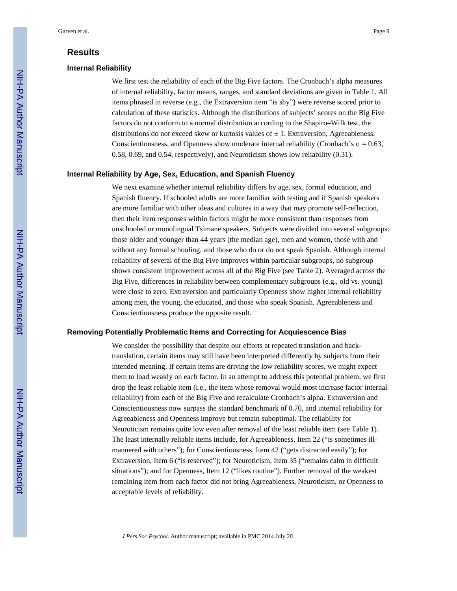### **Results**

#### **Internal Reliability**

We first test the reliability of each of the Big Five factors. The Cronbach's alpha measures of internal reliability, factor means, ranges, and standard deviations are given in Table 1. All items phrased in reverse (e.g., the Extraversion item "is shy") were reverse scored prior to calculation of these statistics. Although the distributions of subjects' scores on the Big Five factors do not conform to a normal distribution according to the Shapiro–Wilk test, the distributions do not exceed skew or kurtosis values of  $\pm$  1. Extraversion, Agreeableness, Conscientiousness, and Openness show moderate internal reliability (Cronbach's  $\alpha = 0.63$ , 0.58, 0.69, and 0.54, respectively), and Neuroticism shows low reliability (0.31).

#### **Internal Reliability by Age, Sex, Education, and Spanish Fluency**

We next examine whether internal reliability differs by age, sex, formal education, and Spanish fluency. If schooled adults are more familiar with testing and if Spanish speakers are more familiar with other ideas and cultures in a way that may promote self-reflection, then their item responses within factors might be more consistent than responses from unschooled or monolingual Tsimane speakers. Subjects were divided into several subgroups: those older and younger than 44 years (the median age), men and women, those with and without any formal schooling, and those who do or do not speak Spanish. Although internal reliability of several of the Big Five improves within particular subgroups, no subgroup shows consistent improvement across all of the Big Five (see Table 2). Averaged across the Big Five, differences in reliability between complementary subgroups (e.g., old vs. young) were close to zero. Extraversion and particularly Openness show higher internal reliability among men, the young, the educated, and those who speak Spanish. Agreeableness and Conscientiousness produce the opposite result.

#### **Removing Potentially Problematic Items and Correcting for Acquiescence Bias**

We consider the possibility that despite our efforts at repeated translation and backtranslation, certain items may still have been interpreted differently by subjects from their intended meaning. If certain items are driving the low reliability scores, we might expect them to load weakly on each factor. In an attempt to address this potential problem, we first drop the least reliable item (i.e., the item whose removal would most increase factor internal reliability) from each of the Big Five and recalculate Cronbach's alpha. Extraversion and Conscientiousness now surpass the standard benchmark of 0.70, and internal reliability for Agreeableness and Openness improve but remain suboptimal. The reliability for Neuroticism remains quite low even after removal of the least reliable item (see Table 1). The least internally reliable items include, for Agreeableness, Item 22 ("is sometimes illmannered with others"); for Conscientiousness, Item 42 ("gets distracted easily"); for Extraversion, Item 6 ("is reserved"); for Neuroticism, Item 35 ("remains calm in difficult situations"); and for Openness, Item 12 ("likes routine"). Further removal of the weakest remaining item from each factor did not bring Agreeableness, Neuroticism, or Openness to acceptable levels of reliability.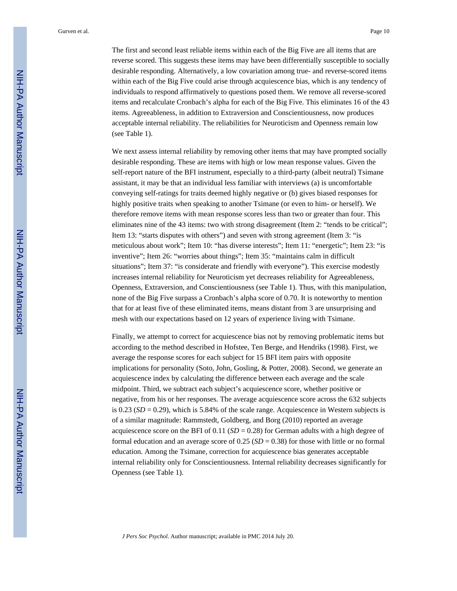The first and second least reliable items within each of the Big Five are all items that are reverse scored. This suggests these items may have been differentially susceptible to socially desirable responding. Alternatively, a low covariation among true- and reverse-scored items within each of the Big Five could arise through acquiescence bias, which is any tendency of individuals to respond affirmatively to questions posed them. We remove all reverse-scored items and recalculate Cronbach's alpha for each of the Big Five. This eliminates 16 of the 43 items. Agreeableness, in addition to Extraversion and Conscientiousness, now produces acceptable internal reliability. The reliabilities for Neuroticism and Openness remain low (see Table 1).

We next assess internal reliability by removing other items that may have prompted socially desirable responding. These are items with high or low mean response values. Given the self-report nature of the BFI instrument, especially to a third-party (albeit neutral) Tsimane assistant, it may be that an individual less familiar with interviews (a) is uncomfortable conveying self-ratings for traits deemed highly negative or (b) gives biased responses for highly positive traits when speaking to another Tsimane (or even to him- or herself). We therefore remove items with mean response scores less than two or greater than four. This eliminates nine of the 43 items: two with strong disagreement (Item 2: "tends to be critical"; Item 13: "starts disputes with others") and seven with strong agreement (Item 3: "is meticulous about work"; Item 10: "has diverse interests"; Item 11: "energetic"; Item 23: "is inventive"; Item 26: "worries about things"; Item 35: "maintains calm in difficult situations"; Item 37: "is considerate and friendly with everyone"). This exercise modestly increases internal reliability for Neuroticism yet decreases reliability for Agreeableness, Openness, Extraversion, and Conscientiousness (see Table 1). Thus, with this manipulation, none of the Big Five surpass a Cronbach's alpha score of 0.70. It is noteworthy to mention that for at least five of these eliminated items, means distant from 3 are unsurprising and mesh with our expectations based on 12 years of experience living with Tsimane.

Finally, we attempt to correct for acquiescence bias not by removing problematic items but according to the method described in Hofstee, Ten Berge, and Hendriks (1998). First, we average the response scores for each subject for 15 BFI item pairs with opposite implications for personality (Soto, John, Gosling, & Potter, 2008). Second, we generate an acquiescence index by calculating the difference between each average and the scale midpoint. Third, we subtract each subject's acquiescence score, whether positive or negative, from his or her responses. The average acquiescence score across the 632 subjects is  $0.23$  ( $SD = 0.29$ ), which is 5.84% of the scale range. Acquiescence in Western subjects is of a similar magnitude: Rammstedt, Goldberg, and Borg (2010) reported an average acquiescence score on the BFI of  $0.11$  (*SD* = 0.28) for German adults with a high degree of formal education and an average score of  $0.25$  ( $SD = 0.38$ ) for those with little or no formal education. Among the Tsimane, correction for acquiescence bias generates acceptable internal reliability only for Conscientiousness. Internal reliability decreases significantly for Openness (see Table 1).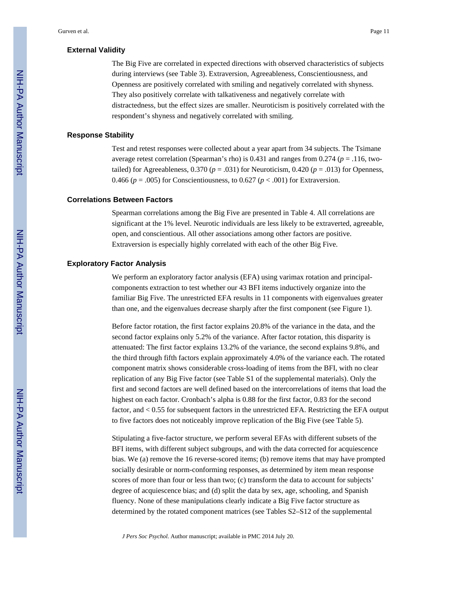#### **External Validity**

The Big Five are correlated in expected directions with observed characteristics of subjects during interviews (see Table 3). Extraversion, Agreeableness, Conscientiousness, and Openness are positively correlated with smiling and negatively correlated with shyness. They also positively correlate with talkativeness and negatively correlate with distractedness, but the effect sizes are smaller. Neuroticism is positively correlated with the respondent's shyness and negatively correlated with smiling.

#### **Response Stability**

Test and retest responses were collected about a year apart from 34 subjects. The Tsimane average retest correlation (Spearman's rho) is 0.431 and ranges from  $0.274$  ( $p = .116$ , twotailed) for Agreeableness,  $0.370$  ( $p = .031$ ) for Neuroticism,  $0.420$  ( $p = .013$ ) for Openness, 0.466 ( $p = .005$ ) for Conscientiousness, to 0.627 ( $p < .001$ ) for Extraversion.

#### **Correlations Between Factors**

Spearman correlations among the Big Five are presented in Table 4. All correlations are significant at the 1% level. Neurotic individuals are less likely to be extraverted, agreeable, open, and conscientious. All other associations among other factors are positive. Extraversion is especially highly correlated with each of the other Big Five.

#### **Exploratory Factor Analysis**

We perform an exploratory factor analysis (EFA) using varimax rotation and principalcomponents extraction to test whether our 43 BFI items inductively organize into the familiar Big Five. The unrestricted EFA results in 11 components with eigenvalues greater than one, and the eigenvalues decrease sharply after the first component (see Figure 1).

Before factor rotation, the first factor explains 20.8% of the variance in the data, and the second factor explains only 5.2% of the variance. After factor rotation, this disparity is attenuated: The first factor explains 13.2% of the variance, the second explains 9.8%, and the third through fifth factors explain approximately 4.0% of the variance each. The rotated component matrix shows considerable cross-loading of items from the BFI, with no clear replication of any Big Five factor (see Table S1 of the supplemental materials). Only the first and second factors are well defined based on the intercorrelations of items that load the highest on each factor. Cronbach's alpha is 0.88 for the first factor, 0.83 for the second factor, and < 0.55 for subsequent factors in the unrestricted EFA. Restricting the EFA output to five factors does not noticeably improve replication of the Big Five (see Table 5).

Stipulating a five-factor structure, we perform several EFAs with different subsets of the BFI items, with different subject subgroups, and with the data corrected for acquiescence bias. We (a) remove the 16 reverse-scored items; (b) remove items that may have prompted socially desirable or norm-conforming responses, as determined by item mean response scores of more than four or less than two; (c) transform the data to account for subjects' degree of acquiescence bias; and (d) split the data by sex, age, schooling, and Spanish fluency. None of these manipulations clearly indicate a Big Five factor structure as determined by the rotated component matrices (see Tables S2–S12 of the supplemental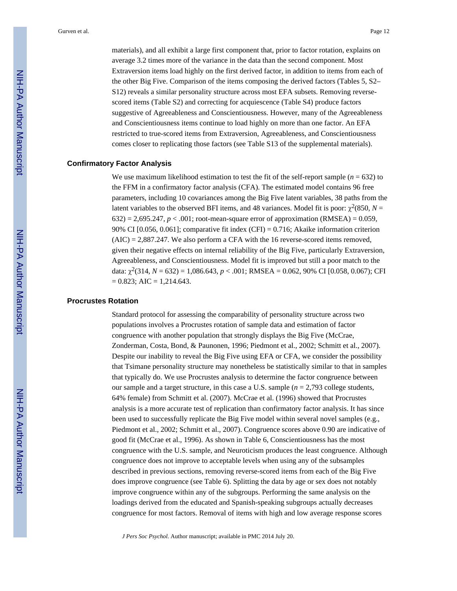materials), and all exhibit a large first component that, prior to factor rotation, explains on average 3.2 times more of the variance in the data than the second component. Most Extraversion items load highly on the first derived factor, in addition to items from each of the other Big Five. Comparison of the items composing the derived factors (Tables 5, S2– S12) reveals a similar personality structure across most EFA subsets. Removing reversescored items (Table S2) and correcting for acquiescence (Table S4) produce factors suggestive of Agreeableness and Conscientiousness. However, many of the Agreeableness and Conscientiousness items continue to load highly on more than one factor. An EFA restricted to true-scored items from Extraversion, Agreeableness, and Conscientiousness comes closer to replicating those factors (see Table S13 of the supplemental materials).

#### **Confirmatory Factor Analysis**

We use maximum likelihood estimation to test the fit of the self-report sample  $(n = 632)$  to the FFM in a confirmatory factor analysis (CFA). The estimated model contains 96 free parameters, including 10 covariances among the Big Five latent variables, 38 paths from the latent variables to the observed BFI items, and 48 variances. Model fit is poor:  $\chi^2(850, N =$  $632$ ) = 2,695.247, *p* < .001; root-mean-square error of approximation (RMSEA) = 0.059, 90% CI [0.056, 0.061]; comparative fit index (CFI) = 0.716; Akaike information criterion  $(AIC) = 2,887.247$ . We also perform a CFA with the 16 reverse-scored items removed, given their negative effects on internal reliability of the Big Five, particularly Extraversion, Agreeableness, and Conscientiousness. Model fit is improved but still a poor match to the data:  $\chi^2(314, N = 632) = 1,086.643, p < .001$ ; RMSEA = 0.062, 90% CI [0.058, 0.067); CFI  $= 0.823$ ; AIC  $= 1,214.643$ .

#### **Procrustes Rotation**

Standard protocol for assessing the comparability of personality structure across two populations involves a Procrustes rotation of sample data and estimation of factor congruence with another population that strongly displays the Big Five (McCrae, Zonderman, Costa, Bond, & Paunonen, 1996; Piedmont et al., 2002; Schmitt et al., 2007). Despite our inability to reveal the Big Five using EFA or CFA, we consider the possibility that Tsimane personality structure may nonetheless be statistically similar to that in samples that typically do. We use Procrustes analysis to determine the factor congruence between our sample and a target structure, in this case a U.S. sample (*n* = 2,793 college students, 64% female) from Schmitt et al. (2007). McCrae et al. (1996) showed that Procrustes analysis is a more accurate test of replication than confirmatory factor analysis. It has since been used to successfully replicate the Big Five model within several novel samples (e.g., Piedmont et al., 2002; Schmitt et al., 2007). Congruence scores above 0.90 are indicative of good fit (McCrae et al., 1996). As shown in Table 6, Conscientiousness has the most congruence with the U.S. sample, and Neuroticism produces the least congruence. Although congruence does not improve to acceptable levels when using any of the subsamples described in previous sections, removing reverse-scored items from each of the Big Five does improve congruence (see Table 6). Splitting the data by age or sex does not notably improve congruence within any of the subgroups. Performing the same analysis on the loadings derived from the educated and Spanish-speaking subgroups actually decreases congruence for most factors. Removal of items with high and low average response scores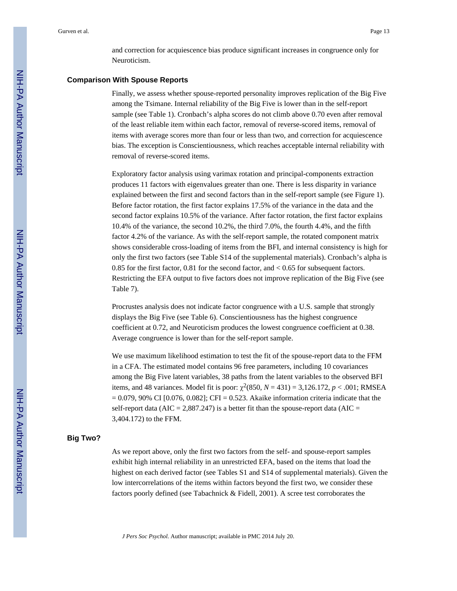and correction for acquiescence bias produce significant increases in congruence only for Neuroticism.

#### **Comparison With Spouse Reports**

Finally, we assess whether spouse-reported personality improves replication of the Big Five among the Tsimane. Internal reliability of the Big Five is lower than in the self-report sample (see Table 1). Cronbach's alpha scores do not climb above 0.70 even after removal of the least reliable item within each factor, removal of reverse-scored items, removal of items with average scores more than four or less than two, and correction for acquiescence bias. The exception is Conscientiousness, which reaches acceptable internal reliability with removal of reverse-scored items.

Exploratory factor analysis using varimax rotation and principal-components extraction produces 11 factors with eigenvalues greater than one. There is less disparity in variance explained between the first and second factors than in the self-report sample (see Figure 1). Before factor rotation, the first factor explains 17.5% of the variance in the data and the second factor explains 10.5% of the variance. After factor rotation, the first factor explains 10.4% of the variance, the second 10.2%, the third 7.0%, the fourth 4.4%, and the fifth factor 4.2% of the variance. As with the self-report sample, the rotated component matrix shows considerable cross-loading of items from the BFI, and internal consistency is high for only the first two factors (see Table S14 of the supplemental materials). Cronbach's alpha is 0.85 for the first factor, 0.81 for the second factor, and < 0.65 for subsequent factors. Restricting the EFA output to five factors does not improve replication of the Big Five (see Table 7).

Procrustes analysis does not indicate factor congruence with a U.S. sample that strongly displays the Big Five (see Table 6). Conscientiousness has the highest congruence coefficient at 0.72, and Neuroticism produces the lowest congruence coefficient at 0.38. Average congruence is lower than for the self-report sample.

We use maximum likelihood estimation to test the fit of the spouse-report data to the FFM in a CFA. The estimated model contains 96 free parameters, including 10 covariances among the Big Five latent variables, 38 paths from the latent variables to the observed BFI items, and 48 variances. Model fit is poor:  $\chi^2(850, N = 431) = 3,126.172, p < .001$ ; RMSEA  $= 0.079, 90\% \text{ CI}$  [0.076, 0.082]; CFI = 0.523. Akaike information criteria indicate that the self-report data (AIC = 2,887.247) is a better fit than the spouse-report data (AIC = 3,404.172) to the FFM.

#### **Big Two?**

As we report above, only the first two factors from the self- and spouse-report samples exhibit high internal reliability in an unrestricted EFA, based on the items that load the highest on each derived factor (see Tables S1 and S14 of supplemental materials). Given the low intercorrelations of the items within factors beyond the first two, we consider these factors poorly defined (see Tabachnick & Fidell, 2001). A scree test corroborates the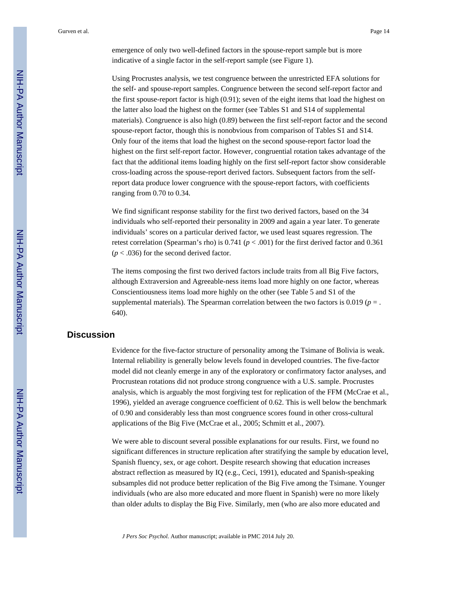emergence of only two well-defined factors in the spouse-report sample but is more indicative of a single factor in the self-report sample (see Figure 1).

Using Procrustes analysis, we test congruence between the unrestricted EFA solutions for the self- and spouse-report samples. Congruence between the second self-report factor and the first spouse-report factor is high (0.91); seven of the eight items that load the highest on the latter also load the highest on the former (see Tables S1 and S14 of supplemental materials). Congruence is also high (0.89) between the first self-report factor and the second spouse-report factor, though this is nonobvious from comparison of Tables S1 and S14. Only four of the items that load the highest on the second spouse-report factor load the highest on the first self-report factor. However, congruential rotation takes advantage of the fact that the additional items loading highly on the first self-report factor show considerable cross-loading across the spouse-report derived factors. Subsequent factors from the selfreport data produce lower congruence with the spouse-report factors, with coefficients ranging from 0.70 to 0.34.

We find significant response stability for the first two derived factors, based on the 34 individuals who self-reported their personality in 2009 and again a year later. To generate individuals' scores on a particular derived factor, we used least squares regression. The retest correlation (Spearman's rho) is  $0.741$  ( $p < .001$ ) for the first derived factor and  $0.361$  $(p < .036)$  for the second derived factor.

The items composing the first two derived factors include traits from all Big Five factors, although Extraversion and Agreeable-ness items load more highly on one factor, whereas Conscientiousness items load more highly on the other (see Table 5 and S1 of the supplemental materials). The Spearman correlation between the two factors is  $0.019$  ( $p =$ . 640).

### **Discussion**

Evidence for the five-factor structure of personality among the Tsimane of Bolivia is weak. Internal reliability is generally below levels found in developed countries. The five-factor model did not cleanly emerge in any of the exploratory or confirmatory factor analyses, and Procrustean rotations did not produce strong congruence with a U.S. sample. Procrustes analysis, which is arguably the most forgiving test for replication of the FFM (McCrae et al., 1996), yielded an average congruence coefficient of 0.62. This is well below the benchmark of 0.90 and considerably less than most congruence scores found in other cross-cultural applications of the Big Five (McCrae et al., 2005; Schmitt et al., 2007).

We were able to discount several possible explanations for our results. First, we found no significant differences in structure replication after stratifying the sample by education level, Spanish fluency, sex, or age cohort. Despite research showing that education increases abstract reflection as measured by IQ (e.g., Ceci, 1991), educated and Spanish-speaking subsamples did not produce better replication of the Big Five among the Tsimane. Younger individuals (who are also more educated and more fluent in Spanish) were no more likely than older adults to display the Big Five. Similarly, men (who are also more educated and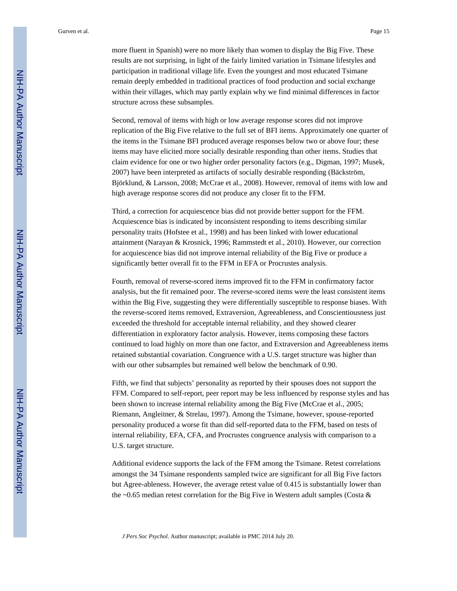more fluent in Spanish) were no more likely than women to display the Big Five. These results are not surprising, in light of the fairly limited variation in Tsimane lifestyles and participation in traditional village life. Even the youngest and most educated Tsimane remain deeply embedded in traditional practices of food production and social exchange within their villages, which may partly explain why we find minimal differences in factor structure across these subsamples.

Second, removal of items with high or low average response scores did not improve replication of the Big Five relative to the full set of BFI items. Approximately one quarter of the items in the Tsimane BFI produced average responses below two or above four; these items may have elicited more socially desirable responding than other items. Studies that claim evidence for one or two higher order personality factors (e.g., Digman, 1997; Musek, 2007) have been interpreted as artifacts of socially desirable responding (Bäckström, Björklund, & Larsson, 2008; McCrae et al., 2008). However, removal of items with low and high average response scores did not produce any closer fit to the FFM.

Third, a correction for acquiescence bias did not provide better support for the FFM. Acquiescence bias is indicated by inconsistent responding to items describing similar personality traits (Hofstee et al., 1998) and has been linked with lower educational attainment (Narayan & Krosnick, 1996; Rammstedt et al., 2010). However, our correction for acquiescence bias did not improve internal reliability of the Big Five or produce a significantly better overall fit to the FFM in EFA or Procrustes analysis.

Fourth, removal of reverse-scored items improved fit to the FFM in confirmatory factor analysis, but the fit remained poor. The reverse-scored items were the least consistent items within the Big Five, suggesting they were differentially susceptible to response biases. With the reverse-scored items removed, Extraversion, Agreeableness, and Conscientiousness just exceeded the threshold for acceptable internal reliability, and they showed clearer differentiation in exploratory factor analysis. However, items composing these factors continued to load highly on more than one factor, and Extraversion and Agreeableness items retained substantial covariation. Congruence with a U.S. target structure was higher than with our other subsamples but remained well below the benchmark of 0.90.

Fifth, we find that subjects' personality as reported by their spouses does not support the FFM. Compared to self-report, peer report may be less influenced by response styles and has been shown to increase internal reliability among the Big Five (McCrae et al., 2005; Riemann, Angleitner, & Strelau, 1997). Among the Tsimane, however, spouse-reported personality produced a worse fit than did self-reported data to the FFM, based on tests of internal reliability, EFA, CFA, and Procrustes congruence analysis with comparison to a U.S. target structure.

Additional evidence supports the lack of the FFM among the Tsimane. Retest correlations amongst the 34 Tsimane respondents sampled twice are significant for all Big Five factors but Agree-ableness. However, the average retest value of 0.415 is substantially lower than the ~0.65 median retest correlation for the Big Five in Western adult samples (Costa  $\&$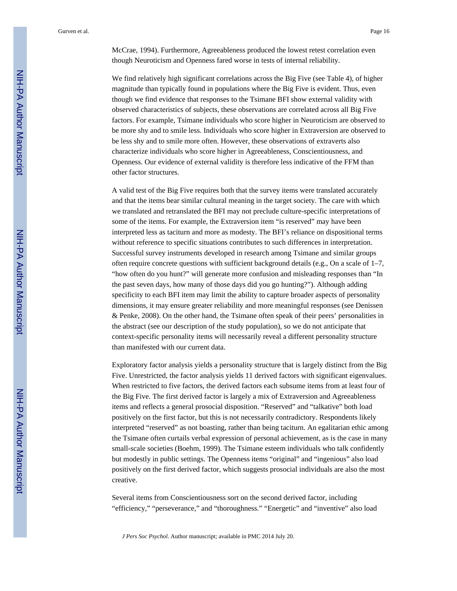McCrae, 1994). Furthermore, Agreeableness produced the lowest retest correlation even though Neuroticism and Openness fared worse in tests of internal reliability.

We find relatively high significant correlations across the Big Five (see Table 4), of higher magnitude than typically found in populations where the Big Five is evident. Thus, even though we find evidence that responses to the Tsimane BFI show external validity with observed characteristics of subjects, these observations are correlated across all Big Five factors. For example, Tsimane individuals who score higher in Neuroticism are observed to be more shy and to smile less. Individuals who score higher in Extraversion are observed to be less shy and to smile more often. However, these observations of extraverts also characterize individuals who score higher in Agreeableness, Conscientiousness, and Openness. Our evidence of external validity is therefore less indicative of the FFM than other factor structures.

A valid test of the Big Five requires both that the survey items were translated accurately and that the items bear similar cultural meaning in the target society. The care with which we translated and retranslated the BFI may not preclude culture-specific interpretations of some of the items. For example, the Extraversion item "is reserved" may have been interpreted less as taciturn and more as modesty. The BFI's reliance on dispositional terms without reference to specific situations contributes to such differences in interpretation. Successful survey instruments developed in research among Tsimane and similar groups often require concrete questions with sufficient background details (e.g., On a scale of 1–7, "how often do you hunt?" will generate more confusion and misleading responses than "In the past seven days, how many of those days did you go hunting?"). Although adding specificity to each BFI item may limit the ability to capture broader aspects of personality dimensions, it may ensure greater reliability and more meaningful responses (see Denissen & Penke, 2008). On the other hand, the Tsimane often speak of their peers' personalities in the abstract (see our description of the study population), so we do not anticipate that context-specific personality items will necessarily reveal a different personality structure than manifested with our current data.

Exploratory factor analysis yields a personality structure that is largely distinct from the Big Five. Unrestricted, the factor analysis yields 11 derived factors with significant eigenvalues. When restricted to five factors, the derived factors each subsume items from at least four of the Big Five. The first derived factor is largely a mix of Extraversion and Agreeableness items and reflects a general prosocial disposition. "Reserved" and "talkative" both load positively on the first factor, but this is not necessarily contradictory. Respondents likely interpreted "reserved" as not boasting, rather than being taciturn. An egalitarian ethic among the Tsimane often curtails verbal expression of personal achievement, as is the case in many small-scale societies (Boehm, 1999). The Tsimane esteem individuals who talk confidently but modestly in public settings. The Openness items "original" and "ingenious" also load positively on the first derived factor, which suggests prosocial individuals are also the most creative.

Several items from Conscientiousness sort on the second derived factor, including "efficiency," "perseverance," and "thoroughness." "Energetic" and "inventive" also load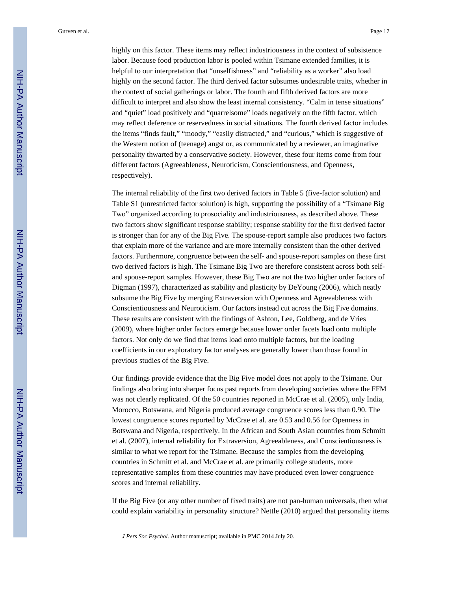highly on this factor. These items may reflect industriousness in the context of subsistence labor. Because food production labor is pooled within Tsimane extended families, it is helpful to our interpretation that "unselfishness" and "reliability as a worker" also load highly on the second factor. The third derived factor subsumes undesirable traits, whether in the context of social gatherings or labor. The fourth and fifth derived factors are more difficult to interpret and also show the least internal consistency. "Calm in tense situations" and "quiet" load positively and "quarrelsome" loads negatively on the fifth factor, which may reflect deference or reservedness in social situations. The fourth derived factor includes the items "finds fault," "moody," "easily distracted," and "curious," which is suggestive of the Western notion of (teenage) angst or, as communicated by a reviewer, an imaginative personality thwarted by a conservative society. However, these four items come from four different factors (Agreeableness, Neuroticism, Conscientiousness, and Openness, respectively).

The internal reliability of the first two derived factors in Table 5 (five-factor solution) and Table S1 (unrestricted factor solution) is high, supporting the possibility of a "Tsimane Big Two" organized according to prosociality and industriousness, as described above. These two factors show significant response stability; response stability for the first derived factor is stronger than for any of the Big Five. The spouse-report sample also produces two factors that explain more of the variance and are more internally consistent than the other derived factors. Furthermore, congruence between the self- and spouse-report samples on these first two derived factors is high. The Tsimane Big Two are therefore consistent across both selfand spouse-report samples. However, these Big Two are not the two higher order factors of Digman (1997), characterized as stability and plasticity by DeYoung (2006), which neatly subsume the Big Five by merging Extraversion with Openness and Agreeableness with Conscientiousness and Neuroticism. Our factors instead cut across the Big Five domains. These results are consistent with the findings of Ashton, Lee, Goldberg, and de Vries (2009), where higher order factors emerge because lower order facets load onto multiple factors. Not only do we find that items load onto multiple factors, but the loading coefficients in our exploratory factor analyses are generally lower than those found in previous studies of the Big Five.

Our findings provide evidence that the Big Five model does not apply to the Tsimane. Our findings also bring into sharper focus past reports from developing societies where the FFM was not clearly replicated. Of the 50 countries reported in McCrae et al. (2005), only India, Morocco, Botswana, and Nigeria produced average congruence scores less than 0.90. The lowest congruence scores reported by McCrae et al. are 0.53 and 0.56 for Openness in Botswana and Nigeria, respectively. In the African and South Asian countries from Schmitt et al. (2007), internal reliability for Extraversion, Agreeableness, and Conscientiousness is similar to what we report for the Tsimane. Because the samples from the developing countries in Schmitt et al. and McCrae et al. are primarily college students, more representative samples from these countries may have produced even lower congruence scores and internal reliability.

If the Big Five (or any other number of fixed traits) are not pan-human universals, then what could explain variability in personality structure? Nettle (2010) argued that personality items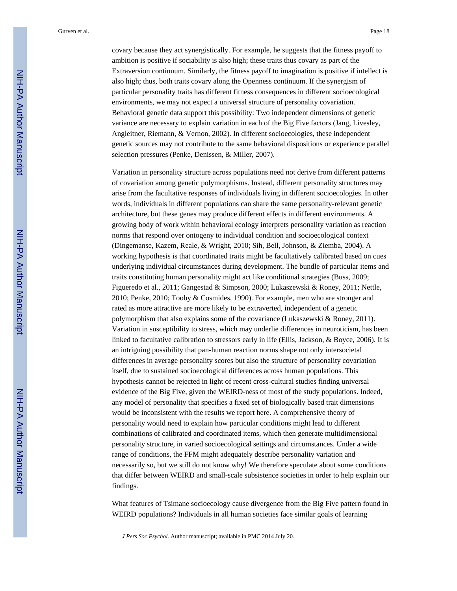covary because they act synergistically. For example, he suggests that the fitness payoff to ambition is positive if sociability is also high; these traits thus covary as part of the Extraversion continuum. Similarly, the fitness payoff to imagination is positive if intellect is also high; thus, both traits covary along the Openness continuum. If the synergism of particular personality traits has different fitness consequences in different socioecological environments, we may not expect a universal structure of personality covariation. Behavioral genetic data support this possibility: Two independent dimensions of genetic variance are necessary to explain variation in each of the Big Five factors (Jang, Livesley, Angleitner, Riemann, & Vernon, 2002). In different socioecologies, these independent genetic sources may not contribute to the same behavioral dispositions or experience parallel selection pressures (Penke, Denissen, & Miller, 2007).

Variation in personality structure across populations need not derive from different patterns of covariation among genetic polymorphisms. Instead, different personality structures may arise from the facultative responses of individuals living in different socioecologies. In other words, individuals in different populations can share the same personality-relevant genetic architecture, but these genes may produce different effects in different environments. A growing body of work within behavioral ecology interprets personality variation as reaction norms that respond over ontogeny to individual condition and socioecological context (Dingemanse, Kazem, Reale, & Wright, 2010; Sih, Bell, Johnson, & Ziemba, 2004). A working hypothesis is that coordinated traits might be facultatively calibrated based on cues underlying individual circumstances during development. The bundle of particular items and traits constituting human personality might act like conditional strategies (Buss, 2009; Figueredo et al., 2011; Gangestad & Simpson, 2000; Lukaszewski & Roney, 2011; Nettle, 2010; Penke, 2010; Tooby & Cosmides, 1990). For example, men who are stronger and rated as more attractive are more likely to be extraverted, independent of a genetic polymorphism that also explains some of the covariance (Lukaszewski & Roney, 2011). Variation in susceptibility to stress, which may underlie differences in neuroticism, has been linked to facultative calibration to stressors early in life (Ellis, Jackson, & Boyce, 2006). It is an intriguing possibility that pan-human reaction norms shape not only intersocietal differences in average personality scores but also the structure of personality covariation itself, due to sustained socioecological differences across human populations. This hypothesis cannot be rejected in light of recent cross-cultural studies finding universal evidence of the Big Five, given the WEIRD-ness of most of the study populations. Indeed, any model of personality that specifies a fixed set of biologically based trait dimensions would be inconsistent with the results we report here. A comprehensive theory of personality would need to explain how particular conditions might lead to different combinations of calibrated and coordinated items, which then generate multidimensional personality structure, in varied socioecological settings and circumstances. Under a wide range of conditions, the FFM might adequately describe personality variation and necessarily so, but we still do not know why! We therefore speculate about some conditions that differ between WEIRD and small-scale subsistence societies in order to help explain our findings.

What features of Tsimane socioecology cause divergence from the Big Five pattern found in WEIRD populations? Individuals in all human societies face similar goals of learning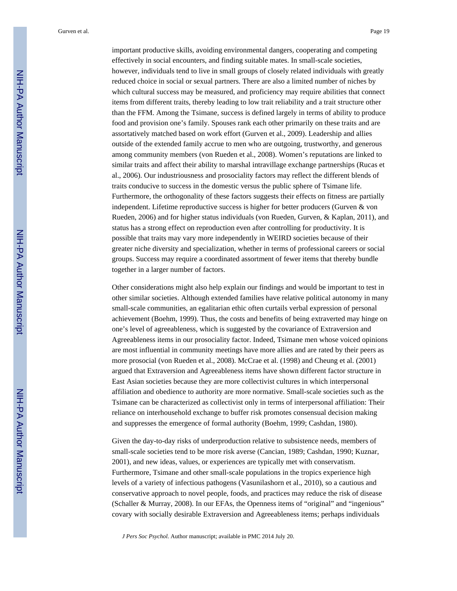important productive skills, avoiding environmental dangers, cooperating and competing effectively in social encounters, and finding suitable mates. In small-scale societies, however, individuals tend to live in small groups of closely related individuals with greatly reduced choice in social or sexual partners. There are also a limited number of niches by which cultural success may be measured, and proficiency may require abilities that connect items from different traits, thereby leading to low trait reliability and a trait structure other than the FFM. Among the Tsimane, success is defined largely in terms of ability to produce food and provision one's family. Spouses rank each other primarily on these traits and are assortatively matched based on work effort (Gurven et al., 2009). Leadership and allies outside of the extended family accrue to men who are outgoing, trustworthy, and generous among community members (von Rueden et al., 2008). Women's reputations are linked to similar traits and affect their ability to marshal intravillage exchange partnerships (Rucas et al., 2006). Our industriousness and prosociality factors may reflect the different blends of traits conducive to success in the domestic versus the public sphere of Tsimane life. Furthermore, the orthogonality of these factors suggests their effects on fitness are partially independent. Lifetime reproductive success is higher for better producers (Gurven & von Rueden, 2006) and for higher status individuals (von Rueden, Gurven, & Kaplan, 2011), and status has a strong effect on reproduction even after controlling for productivity. It is possible that traits may vary more independently in WEIRD societies because of their greater niche diversity and specialization, whether in terms of professional careers or social groups. Success may require a coordinated assortment of fewer items that thereby bundle together in a larger number of factors.

Other considerations might also help explain our findings and would be important to test in other similar societies. Although extended families have relative political autonomy in many small-scale communities, an egalitarian ethic often curtails verbal expression of personal achievement (Boehm, 1999). Thus, the costs and benefits of being extraverted may hinge on one's level of agreeableness, which is suggested by the covariance of Extraversion and Agreeableness items in our prosociality factor. Indeed, Tsimane men whose voiced opinions are most influential in community meetings have more allies and are rated by their peers as more prosocial (von Rueden et al., 2008). McCrae et al. (1998) and Cheung et al. (2001) argued that Extraversion and Agreeableness items have shown different factor structure in East Asian societies because they are more collectivist cultures in which interpersonal affiliation and obedience to authority are more normative. Small-scale societies such as the Tsimane can be characterized as collectivist only in terms of interpersonal affiliation: Their reliance on interhousehold exchange to buffer risk promotes consensual decision making and suppresses the emergence of formal authority (Boehm, 1999; Cashdan, 1980).

Given the day-to-day risks of underproduction relative to subsistence needs, members of small-scale societies tend to be more risk averse (Cancian, 1989; Cashdan, 1990; Kuznar, 2001), and new ideas, values, or experiences are typically met with conservatism. Furthermore, Tsimane and other small-scale populations in the tropics experience high levels of a variety of infectious pathogens (Vasunilashorn et al., 2010), so a cautious and conservative approach to novel people, foods, and practices may reduce the risk of disease (Schaller & Murray, 2008). In our EFAs, the Openness items of "original" and "ingenious" covary with socially desirable Extraversion and Agreeableness items; perhaps individuals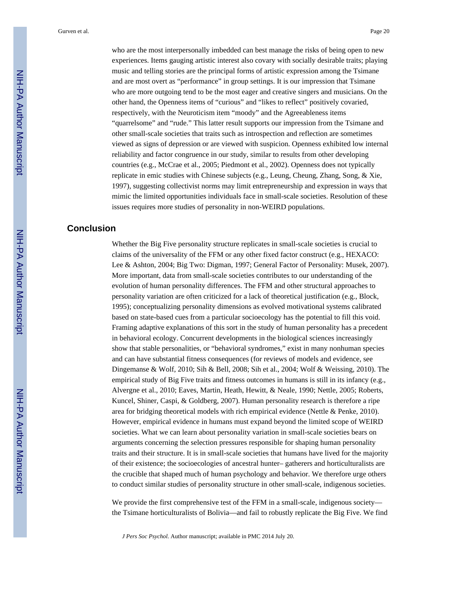who are the most interpersonally imbedded can best manage the risks of being open to new experiences. Items gauging artistic interest also covary with socially desirable traits; playing music and telling stories are the principal forms of artistic expression among the Tsimane and are most overt as "performance" in group settings. It is our impression that Tsimane who are more outgoing tend to be the most eager and creative singers and musicians. On the other hand, the Openness items of "curious" and "likes to reflect" positively covaried, respectively, with the Neuroticism item "moody" and the Agreeableness items "quarrelsome" and "rude." This latter result supports our impression from the Tsimane and other small-scale societies that traits such as introspection and reflection are sometimes viewed as signs of depression or are viewed with suspicion. Openness exhibited low internal reliability and factor congruence in our study, similar to results from other developing countries (e.g., McCrae et al., 2005; Piedmont et al., 2002). Openness does not typically replicate in emic studies with Chinese subjects (e.g., Leung, Cheung, Zhang, Song, & Xie, 1997), suggesting collectivist norms may limit entrepreneurship and expression in ways that mimic the limited opportunities individuals face in small-scale societies. Resolution of these issues requires more studies of personality in non-WEIRD populations.

#### **Conclusion**

Whether the Big Five personality structure replicates in small-scale societies is crucial to claims of the universality of the FFM or any other fixed factor construct (e.g., HEXACO: Lee & Ashton, 2004; Big Two: Digman, 1997; General Factor of Personality: Musek, 2007). More important, data from small-scale societies contributes to our understanding of the evolution of human personality differences. The FFM and other structural approaches to personality variation are often criticized for a lack of theoretical justification (e.g., Block, 1995); conceptualizing personality dimensions as evolved motivational systems calibrated based on state-based cues from a particular socioecology has the potential to fill this void. Framing adaptive explanations of this sort in the study of human personality has a precedent in behavioral ecology. Concurrent developments in the biological sciences increasingly show that stable personalities, or "behavioral syndromes," exist in many nonhuman species and can have substantial fitness consequences (for reviews of models and evidence, see Dingemanse & Wolf, 2010; Sih & Bell, 2008; Sih et al., 2004; Wolf & Weissing, 2010). The empirical study of Big Five traits and fitness outcomes in humans is still in its infancy (e.g., Alvergne et al., 2010; Eaves, Martin, Heath, Hewitt, & Neale, 1990; Nettle, 2005; Roberts, Kuncel, Shiner, Caspi, & Goldberg, 2007). Human personality research is therefore a ripe area for bridging theoretical models with rich empirical evidence (Nettle & Penke, 2010). However, empirical evidence in humans must expand beyond the limited scope of WEIRD societies. What we can learn about personality variation in small-scale societies bears on arguments concerning the selection pressures responsible for shaping human personality traits and their structure. It is in small-scale societies that humans have lived for the majority of their existence; the socioecologies of ancestral hunter– gatherers and horticulturalists are the crucible that shaped much of human psychology and behavior. We therefore urge others to conduct similar studies of personality structure in other small-scale, indigenous societies.

We provide the first comprehensive test of the FFM in a small-scale, indigenous society the Tsimane horticulturalists of Bolivia—and fail to robustly replicate the Big Five. We find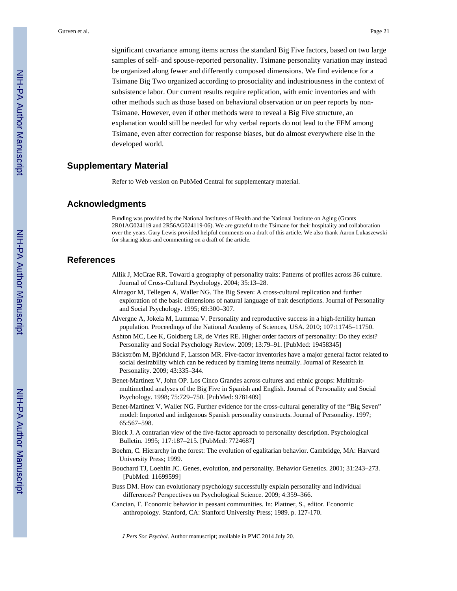significant covariance among items across the standard Big Five factors, based on two large samples of self- and spouse-reported personality. Tsimane personality variation may instead be organized along fewer and differently composed dimensions. We find evidence for a Tsimane Big Two organized according to prosociality and industriousness in the context of subsistence labor. Our current results require replication, with emic inventories and with other methods such as those based on behavioral observation or on peer reports by non-Tsimane. However, even if other methods were to reveal a Big Five structure, an explanation would still be needed for why verbal reports do not lead to the FFM among Tsimane, even after correction for response biases, but do almost everywhere else in the developed world.

#### **Supplementary Material**

Refer to Web version on PubMed Central for supplementary material.

#### **Acknowledgments**

Funding was provided by the National Institutes of Health and the National Institute on Aging (Grants 2R01AG024119 and 2R56AG024119-06). We are grateful to the Tsimane for their hospitality and collaboration over the years. Gary Lewis provided helpful comments on a draft of this article. We also thank Aaron Lukaszewski for sharing ideas and commenting on a draft of the article.

#### **References**

- Allik J, McCrae RR. Toward a geography of personality traits: Patterns of profiles across 36 culture. Journal of Cross-Cultural Psychology. 2004; 35:13–28.
- Almagor M, Tellegen A, Waller NG. The Big Seven: A cross-cultural replication and further exploration of the basic dimensions of natural language of trait descriptions. Journal of Personality and Social Psychology. 1995; 69:300–307.
- Alvergne A, Jokela M, Lummaa V. Personality and reproductive success in a high-fertility human population. Proceedings of the National Academy of Sciences, USA. 2010; 107:11745–11750.
- Ashton MC, Lee K, Goldberg LR, de Vries RE. Higher order factors of personality: Do they exist? Personality and Social Psychology Review. 2009; 13:79–91. [PubMed: 19458345]
- Bäckström M, Björklund F, Larsson MR. Five-factor inventories have a major general factor related to social desirability which can be reduced by framing items neutrally. Journal of Research in Personality. 2009; 43:335–344.
- Benet-Martínez V, John OP. Los Cinco Grandes across cultures and ethnic groups: Multitraitmultimethod analyses of the Big Five in Spanish and English. Journal of Personality and Social Psychology. 1998; 75:729–750. [PubMed: 9781409]
- Benet-Martínez V, Waller NG. Further evidence for the cross-cultural generality of the "Big Seven" model: Imported and indigenous Spanish personality constructs. Journal of Personality. 1997; 65:567–598.
- Block J. A contrarian view of the five-factor approach to personality description. Psychological Bulletin. 1995; 117:187–215. [PubMed: 7724687]
- Boehm, C. Hierarchy in the forest: The evolution of egalitarian behavior. Cambridge, MA: Harvard University Press; 1999.
- Bouchard TJ, Loehlin JC. Genes, evolution, and personality. Behavior Genetics. 2001; 31:243–273. [PubMed: 11699599]
- Buss DM. How can evolutionary psychology successfully explain personality and individual differences? Perspectives on Psychological Science. 2009; 4:359–366.
- Cancian, F. Economic behavior in peasant communities. In: Plattner, S., editor. Economic anthropology. Stanford, CA: Stanford University Press; 1989. p. 127-170.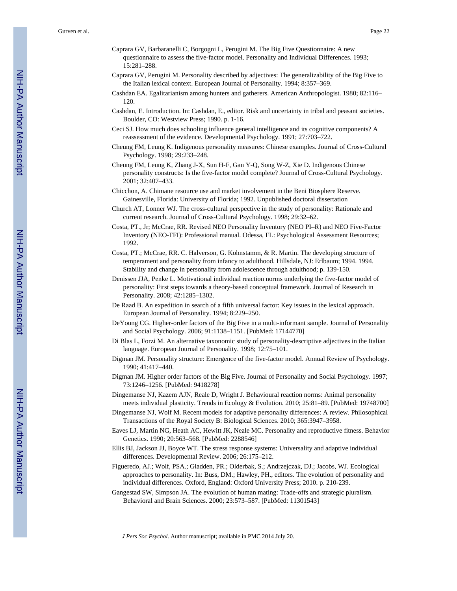- Caprara GV, Barbaranelli C, Borgogni L, Perugini M. The Big Five Questionnaire: A new questionnaire to assess the five-factor model. Personality and Individual Differences. 1993; 15:281–288.
- Caprara GV, Perugini M. Personality described by adjectives: The generalizability of the Big Five to the Italian lexical context. European Journal of Personality. 1994; 8:357–369.
- Cashdan EA. Egalitarianism among hunters and gatherers. American Anthropologist. 1980; 82:116– 120.
- Cashdan, E. Introduction. In: Cashdan, E., editor. Risk and uncertainty in tribal and peasant societies. Boulder, CO: Westview Press; 1990. p. 1-16.
- Ceci SJ. How much does schooling influence general intelligence and its cognitive components? A reassessment of the evidence. Developmental Psychology. 1991; 27:703–722.
- Cheung FM, Leung K. Indigenous personality measures: Chinese examples. Journal of Cross-Cultural Psychology. 1998; 29:233–248.
- Cheung FM, Leung K, Zhang J-X, Sun H-F, Gan Y-Q, Song W-Z, Xie D. Indigenous Chinese personality constructs: Is the five-factor model complete? Journal of Cross-Cultural Psychology. 2001; 32:407–433.
- Chicchon, A. Chimane resource use and market involvement in the Beni Biosphere Reserve. Gainesville, Florida: University of Florida; 1992. Unpublished doctoral dissertation
- Church AT, Lonner WJ. The cross-cultural perspective in the study of personality: Rationale and current research. Journal of Cross-Cultural Psychology. 1998; 29:32–62.
- Costa, PT., Jr; McCrae, RR. Revised NEO Personality Inventory (NEO PI–R) and NEO Five-Factor Inventory (NEO-FFI): Professional manual. Odessa, FL: Psychological Assessment Resources; 1992.
- Costa, PT.; McCrae, RR. C. Halverson, G. Kohnstamm, & R. Martin. The developing structure of temperament and personality from infancy to adulthood. Hillsdale, NJ: Erlbaum; 1994. 1994. Stability and change in personality from adolescence through adulthood; p. 139-150.
- Denissen JJA, Penke L. Motivational individual reaction norms underlying the five-factor model of personality: First steps towards a theory-based conceptual framework. Journal of Research in Personality. 2008; 42:1285–1302.
- De Raad B. An expedition in search of a fifth universal factor: Key issues in the lexical approach. European Journal of Personality. 1994; 8:229–250.
- DeYoung CG. Higher-order factors of the Big Five in a multi-informant sample. Journal of Personality and Social Psychology. 2006; 91:1138–1151. [PubMed: 17144770]
- Di Blas L, Forzi M. An alternative taxonomic study of personality-descriptive adjectives in the Italian language. European Journal of Personality. 1998; 12:75–101.
- Digman JM. Personality structure: Emergence of the five-factor model. Annual Review of Psychology. 1990; 41:417–440.
- Digman JM. Higher order factors of the Big Five. Journal of Personality and Social Psychology. 1997; 73:1246–1256. [PubMed: 9418278]
- Dingemanse NJ, Kazem AJN, Reale D, Wright J. Behavioural reaction norms: Animal personality meets individual plasticity. Trends in Ecology & Evolution. 2010; 25:81–89. [PubMed: 19748700]
- Dingemanse NJ, Wolf M. Recent models for adaptive personality differences: A review. Philosophical Transactions of the Royal Society B: Biological Sciences. 2010; 365:3947–3958.
- Eaves LJ, Martin NG, Heath AC, Hewitt JK, Neale MC. Personality and reproductive fitness. Behavior Genetics. 1990; 20:563–568. [PubMed: 2288546]
- Ellis BJ, Jackson JJ, Boyce WT. The stress response systems: Universality and adaptive individual differences. Developmental Review. 2006; 26:175–212.
- Figueredo, AJ.; Wolf, PSA.; Gladden, PR.; Olderbak, S.; Andrzejczak, DJ.; Jacobs, WJ. Ecological approaches to personality. In: Buss, DM.; Hawley, PH., editors. The evolution of personality and individual differences. Oxford, England: Oxford University Press; 2010. p. 210-239.
- Gangestad SW, Simpson JA. The evolution of human mating: Trade-offs and strategic pluralism. Behavioral and Brain Sciences. 2000; 23:573–587. [PubMed: 11301543]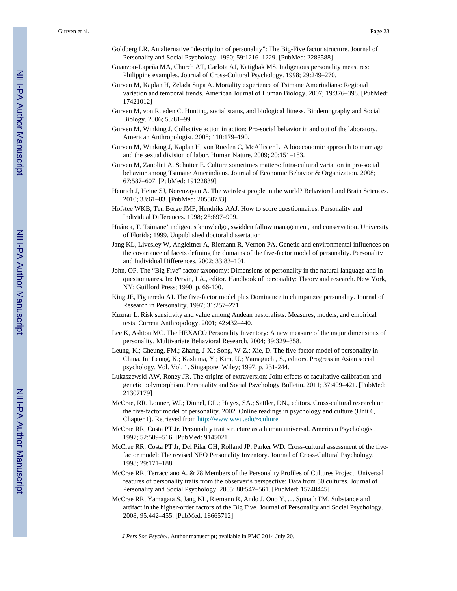- Goldberg LR. An alternative "description of personality": The Big-Five factor structure. Journal of Personality and Social Psychology. 1990; 59:1216–1229. [PubMed: 2283588]
- Guanzon-Lapeña MA, Church AT, Carlota AJ, Katigbak MS. Indigenous personality measures: Philippine examples. Journal of Cross-Cultural Psychology. 1998; 29:249–270.
- Gurven M, Kaplan H, Zelada Supa A. Mortality experience of Tsimane Amerindians: Regional variation and temporal trends. American Journal of Human Biology. 2007; 19:376–398. [PubMed: 17421012]
- Gurven M, von Rueden C. Hunting, social status, and biological fitness. Biodemography and Social Biology. 2006; 53:81–99.
- Gurven M, Winking J. Collective action in action: Pro-social behavior in and out of the laboratory. American Anthropologist. 2008; 110:179–190.
- Gurven M, Winking J, Kaplan H, von Rueden C, McAllister L. A bioeconomic approach to marriage and the sexual division of labor. Human Nature. 2009; 20:151–183.
- Gurven M, Zanolini A, Schniter E. Culture sometimes matters: Intra-cultural variation in pro-social behavior among Tsimane Amerindians. Journal of Economic Behavior & Organization. 2008; 67:587–607. [PubMed: 19122839]
- Henrich J, Heine SJ, Norenzayan A. The weirdest people in the world? Behavioral and Brain Sciences. 2010; 33:61–83. [PubMed: 20550733]
- Hofstee WKB, Ten Berge JMF, Hendriks AAJ. How to score questionnaires. Personality and Individual Differences. 1998; 25:897–909.
- Huánca, T. Tsimane' indigeous knowledge, swidden fallow management, and conservation. University of Florida; 1999. Unpublished doctoral dissertation
- Jang KL, Livesley W, Angleitner A, Riemann R, Vernon PA. Genetic and environmental influences on the covariance of facets defining the domains of the five-factor model of personality. Personality and Individual Differences. 2002; 33:83–101.
- John, OP. The "Big Five" factor taxonomy: Dimensions of personality in the natural language and in questionnaires. In: Pervin, LA., editor. Handbook of personality: Theory and research. New York, NY: Guilford Press; 1990. p. 66-100.
- King JE, Figueredo AJ. The five-factor model plus Dominance in chimpanzee personality. Journal of Research in Personality. 1997; 31:257–271.
- Kuznar L. Risk sensitivity and value among Andean pastoralists: Measures, models, and empirical tests. Current Anthropology. 2001; 42:432–440.
- Lee K, Ashton MC. The HEXACO Personality Inventory: A new measure of the major dimensions of personality. Multivariate Behavioral Research. 2004; 39:329–358.
- Leung, K.; Cheung, FM.; Zhang, J-X.; Song, W-Z.; Xie, D. The five-factor model of personality in China. In: Leung, K.; Kashima, Y.; Kim, U.; Yamaguchi, S., editors. Progress in Asian social psychology. Vol. Vol. 1. Singapore: Wiley; 1997. p. 231-244.
- Lukaszewski AW, Roney JR. The origins of extraversion: Joint effects of facultative calibration and genetic polymorphism. Personality and Social Psychology Bulletin. 2011; 37:409–421. [PubMed: 21307179]
- McCrae, RR. Lonner, WJ.; Dinnel, DL.; Hayes, SA.; Sattler, DN., editors. Cross-cultural research on the five-factor model of personality. 2002. Online readings in psychology and culture (Unit 6, Chapter 1). Retrieved from <http://www.wwu.edu/~culture>
- McCrae RR, Costa PT Jr. Personality trait structure as a human universal. American Psychologist. 1997; 52:509–516. [PubMed: 9145021]
- McCrae RR, Costa PT Jr, Del Pilar GH, Rolland JP, Parker WD. Cross-cultural assessment of the fivefactor model: The revised NEO Personality Inventory. Journal of Cross-Cultural Psychology. 1998; 29:171–188.
- McCrae RR, Terracciano A. & 78 Members of the Personality Profiles of Cultures Project. Universal features of personality traits from the observer's perspective: Data from 50 cultures. Journal of Personality and Social Psychology. 2005; 88:547–561. [PubMed: 15740445]
- McCrae RR, Yamagata S, Jang KL, Riemann R, Ando J, Ono Y, … Spinath FM. Substance and artifact in the higher-order factors of the Big Five. Journal of Personality and Social Psychology. 2008; 95:442–455. [PubMed: 18665712]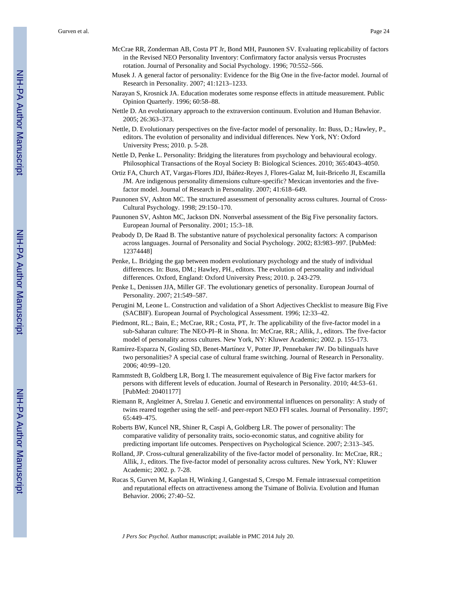- McCrae RR, Zonderman AB, Costa PT Jr, Bond MH, Paunonen SV. Evaluating replicability of factors in the Revised NEO Personality Inventory: Confirmatory factor analysis versus Procrustes rotation. Journal of Personality and Social Psychology. 1996; 70:552–566.
- Musek J. A general factor of personality: Evidence for the Big One in the five-factor model. Journal of Research in Personality. 2007; 41:1213–1233.
- Narayan S, Krosnick JA. Education moderates some response effects in attitude measurement. Public Opinion Quarterly. 1996; 60:58–88.
- Nettle D. An evolutionary approach to the extraversion continuum. Evolution and Human Behavior. 2005; 26:363–373.
- Nettle, D. Evolutionary perspectives on the five-factor model of personality. In: Buss, D.; Hawley, P., editors. The evolution of personality and individual differences. New York, NY: Oxford University Press; 2010. p. 5-28.
- Nettle D, Penke L. Personality: Bridging the literatures from psychology and behavioural ecology. Philosophical Transactions of the Royal Society B: Biological Sciences. 2010; 365:4043–4050.
- Ortiz FA, Church AT, Vargas-Flores JDJ, Ibáñez-Reyes J, Flores-Galaz M, Iuit-Briceño JI, Escamilla JM. Are indigenous personality dimensions culture-specific? Mexican inventories and the fivefactor model. Journal of Research in Personality. 2007; 41:618–649.
- Paunonen SV, Ashton MC. The structured assessment of personality across cultures. Journal of Cross-Cultural Psychology. 1998; 29:150–170.
- Paunonen SV, Ashton MC, Jackson DN. Nonverbal assessment of the Big Five personality factors. European Journal of Personality. 2001; 15:3–18.
- Peabody D, De Raad B. The substantive nature of psycholexical personality factors: A comparison across languages. Journal of Personality and Social Psychology. 2002; 83:983–997. [PubMed: 12374448]
- Penke, L. Bridging the gap between modern evolutionary psychology and the study of individual differences. In: Buss, DM.; Hawley, PH., editors. The evolution of personality and individual differences. Oxford, England: Oxford University Press; 2010. p. 243-279.
- Penke L, Denissen JJA, Miller GF. The evolutionary genetics of personality. European Journal of Personality. 2007; 21:549–587.
- Perugini M, Leone L. Construction and validation of a Short Adjectives Checklist to measure Big Five (SACBIF). European Journal of Psychological Assessment. 1996; 12:33–42.
- Piedmont, RL.; Bain, E.; McCrae, RR.; Costa, PT, Jr. The applicability of the five-factor model in a sub-Saharan culture: The NEO-PI–R in Shona. In: McCrae, RR.; Allik, J., editors. The five-factor model of personality across cultures. New York, NY: Kluwer Academic; 2002. p. 155-173.
- Ramírez-Esparza N, Gosling SD, Benet-Martínez V, Potter JP, Pennebaker JW. Do bilinguals have two personalities? A special case of cultural frame switching. Journal of Research in Personality. 2006; 40:99–120.
- Rammstedt B, Goldberg LR, Borg I. The measurement equivalence of Big Five factor markers for persons with different levels of education. Journal of Research in Personality. 2010; 44:53–61. [PubMed: 20401177]
- Riemann R, Angleitner A, Strelau J. Genetic and environmental influences on personality: A study of twins reared together using the self- and peer-report NEO FFI scales. Journal of Personality. 1997; 65:449–475.
- Roberts BW, Kuncel NR, Shiner R, Caspi A, Goldberg LR. The power of personality: The comparative validity of personality traits, socio-economic status, and cognitive ability for predicting important life outcomes. Perspectives on Psychological Science. 2007; 2:313–345.
- Rolland, JP. Cross-cultural generalizability of the five-factor model of personality. In: McCrae, RR.; Allik, J., editors. The five-factor model of personality across cultures. New York, NY: Kluwer Academic; 2002. p. 7-28.
- Rucas S, Gurven M, Kaplan H, Winking J, Gangestad S, Crespo M. Female intrasexual competition and reputational effects on attractiveness among the Tsimane of Bolivia. Evolution and Human Behavior. 2006; 27:40–52.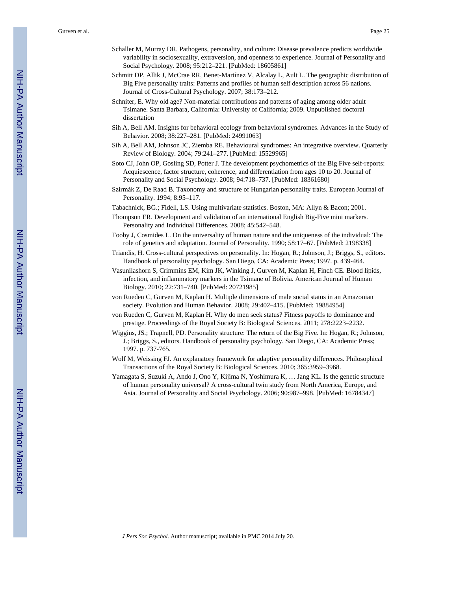- Schaller M, Murray DR. Pathogens, personality, and culture: Disease prevalence predicts worldwide variability in sociosexuality, extraversion, and openness to experience. Journal of Personality and Social Psychology. 2008; 95:212–221. [PubMed: 18605861]
- Schmitt DP, Allik J, McCrae RR, Benet-Martínez V, Alcalay L, Ault L. The geographic distribution of Big Five personality traits: Patterns and profiles of human self description across 56 nations. Journal of Cross-Cultural Psychology. 2007; 38:173–212.
- Schniter, E. Why old age? Non-material contributions and patterns of aging among older adult Tsimane. Santa Barbara, California: University of California; 2009. Unpublished doctoral dissertation
- Sih A, Bell AM. Insights for behavioral ecology from behavioral syndromes. Advances in the Study of Behavior. 2008; 38:227–281. [PubMed: 24991063]
- Sih A, Bell AM, Johnson JC, Ziemba RE. Behavioural syndromes: An integrative overview. Quarterly Review of Biology. 2004; 79:241–277. [PubMed: 15529965]
- Soto CJ, John OP, Gosling SD, Potter J. The development psychometrics of the Big Five self-reports: Acquiescence, factor structure, coherence, and differentiation from ages 10 to 20. Journal of Personality and Social Psychology. 2008; 94:718–737. [PubMed: 18361680]
- Szirmák Z, De Raad B. Taxonomy and structure of Hungarian personality traits. European Journal of Personality. 1994; 8:95–117.
- Tabachnick, BG.; Fidell, LS. Using multivariate statistics. Boston, MA: Allyn & Bacon; 2001.
- Thompson ER. Development and validation of an international English Big-Five mini markers. Personality and Individual Differences. 2008; 45:542–548.
- Tooby J, Cosmides L. On the universality of human nature and the uniqueness of the individual: The role of genetics and adaptation. Journal of Personality. 1990; 58:17–67. [PubMed: 2198338]
- Triandis, H. Cross-cultural perspectives on personality. In: Hogan, R.; Johnson, J.; Briggs, S., editors. Handbook of personality psychology. San Diego, CA: Academic Press; 1997. p. 439-464.
- Vasunilashorn S, Crimmins EM, Kim JK, Winking J, Gurven M, Kaplan H, Finch CE. Blood lipids, infection, and inflammatory markers in the Tsimane of Bolivia. American Journal of Human Biology. 2010; 22:731–740. [PubMed: 20721985]
- von Rueden C, Gurven M, Kaplan H. Multiple dimensions of male social status in an Amazonian society. Evolution and Human Behavior. 2008; 29:402–415. [PubMed: 19884954]
- von Rueden C, Gurven M, Kaplan H. Why do men seek status? Fitness payoffs to dominance and prestige. Proceedings of the Royal Society B: Biological Sciences. 2011; 278:2223–2232.
- Wiggins, JS.; Trapnell, PD. Personality structure: The return of the Big Five. In: Hogan, R.; Johnson, J.; Briggs, S., editors. Handbook of personality psychology. San Diego, CA: Academic Press; 1997. p. 737-765.
- Wolf M, Weissing FJ. An explanatory framework for adaptive personality differences. Philosophical Transactions of the Royal Society B: Biological Sciences. 2010; 365:3959–3968.
- Yamagata S, Suzuki A, Ando J, Ono Y, Kijima N, Yoshimura K, … Jang KL. Is the genetic structure of human personality universal? A cross-cultural twin study from North America, Europe, and Asia. Journal of Personality and Social Psychology. 2006; 90:987–998. [PubMed: 16784347]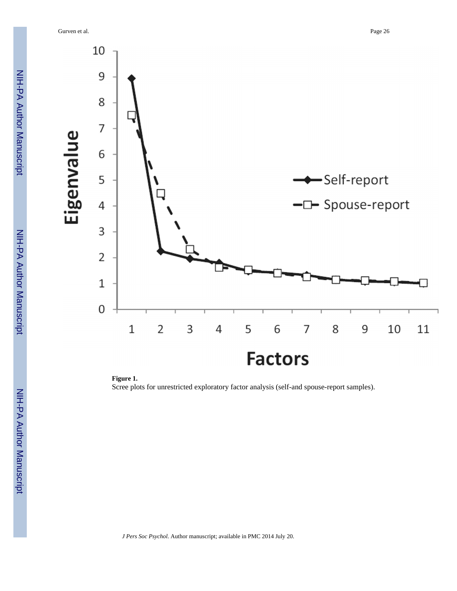Gurven et al. Page 26





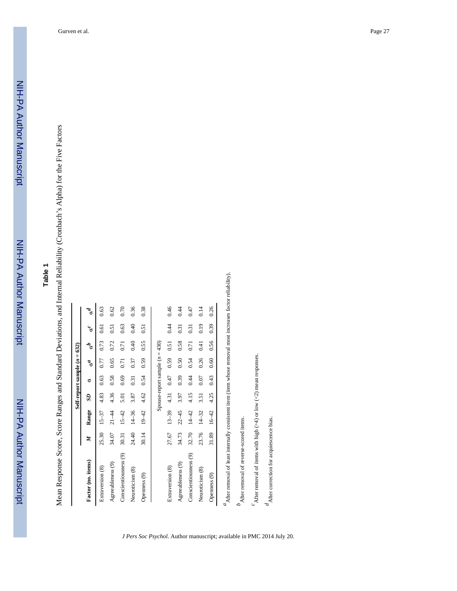Mean Response Score, Score Ranges and Standard Deviations, and Internal Reliability (Cronbach's Alpha) for the Five Factors Mean Response Score, Score Ranges and Standard Deviations, and Internal Reliability (Cronbach's Alpha) for the Five Factors

|                                                                                                               |       |           | Self-report sample $(n = 632)$   |      |          |      |      |      |  |
|---------------------------------------------------------------------------------------------------------------|-------|-----------|----------------------------------|------|----------|------|------|------|--|
| Factor (no. items)                                                                                            | Z     | Range     | SD                               | ರ    | <b>u</b> | oo   | ್ಯ   | °C   |  |
| Extraversion (8)                                                                                              | 25.30 | $15 - 37$ | 4.83                             | 0.63 | 0.77     | 0.73 | 0.61 | 0.63 |  |
| Agreeableness (9)                                                                                             | 34.07 | $21 - 44$ | 4.36                             | 0.58 | 0.65     | 0.72 | 0.51 | 0.62 |  |
| Conscientiousness (9)                                                                                         | 30.31 | $15 - 42$ | 5.01                             | 0.69 | 0.71     | 0.71 | 0.63 | 0.70 |  |
| Neuroticism (8)                                                                                               | 24.40 | $14 - 36$ | 3.87                             | 0.31 | 0.37     | 0.40 | 0.40 | 0.36 |  |
| Openness (9)                                                                                                  | 30.14 | $19 - 42$ | 4.62                             | 0.54 | 0.59     | 0.55 | 0.51 | 0.38 |  |
|                                                                                                               |       |           | Spouse-report sample $(n = 430)$ |      |          |      |      |      |  |
| Extraversion (8)                                                                                              | 27.67 | $13 - 39$ | 4.31                             | 0.47 | 0.59     | 0.51 | 0.44 | 0.46 |  |
| Agreeableness (9)                                                                                             | 34.73 | $22 - 45$ | 3.97                             | 0.39 | 0.50     | 0.58 | 0.31 | 0.44 |  |
| Conscientiousness (9)                                                                                         | 32.70 | $14 - 42$ | 4.15                             | 0.44 | 0.54     | 0.71 | 0.31 | 0.47 |  |
| Neuroticism (8)                                                                                               | 23.76 | $14 - 32$ | 3.51                             | 0.07 | 0.26     | 0.41 | 0.19 | 0.14 |  |
| Openness (9)                                                                                                  | 31.89 | $16 - 42$ | 4.25                             | 0.43 | 0.60     | 0.56 | 0.39 | 0.26 |  |
| $a$ After removal of least internally consistent item (item whose removal most increases factor reliability). |       |           |                                  |      |          |      |      |      |  |
| $b$<br>After removal of reverse-scored items.                                                                 |       |           |                                  |      |          |      |      |      |  |

 $\alpha$  After removal of items with high (>4) or low (<2) mean responses.

" After removal of items with high  $(\geq 4)$  or low  $(\leq 2)$  mean responses.

*d*After correction for acquiescence bias.

 $d$  <br> After correction for acquiescence bias.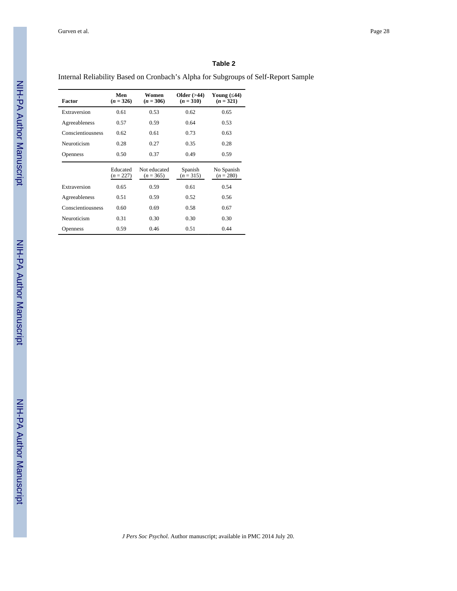| <b>Factor</b>     | Men<br>$(n = 326)$      | Women<br>$(n = 306)$        | Older $(>44)$<br>$(n = 310)$ | Young $(44)$<br>$(n = 321)$ |
|-------------------|-------------------------|-----------------------------|------------------------------|-----------------------------|
| Extraversion      | 0.61                    | 0.53                        | 0.62                         | 0.65                        |
| Agreeableness     | 0.57                    | 0.59                        | 0.64                         | 0.53                        |
| Conscientiousness | 0.62                    | 0.61                        | 0.73                         | 0.63                        |
| Neuroticism       | 0.28                    | 0.27                        | 0.35                         | 0.28                        |
| <b>Openness</b>   | 0.50                    | 0.37                        | 0.49                         | 0.59                        |
|                   | Educated<br>$(n = 227)$ | Not educated<br>$(n = 365)$ | Spanish<br>$(n=315)$         | No Spanish<br>$(n = 280)$   |
| Extraversion      | 0.65                    | 0.59                        | 0.61                         | 0.54                        |
| Agreeableness     | 0.51                    | 0.59                        | 0.52                         | 0.56                        |
| Conscientiousness | 0.60                    | 0.69                        | 0.58                         | 0.67                        |
| Neuroticism       | 0.31                    | 0.30                        | 0.30                         | 0.30                        |
| <b>Openness</b>   | 0.59                    | 0.46                        | 0.51                         | 0.44                        |

Internal Reliability Based on Cronbach's Alpha for Subgroups of Self-Report Sample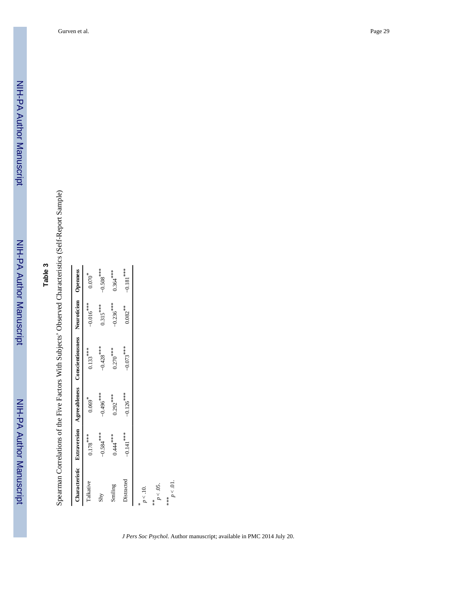Spearman Correlations of the Five Factors With Subjects' Observed Characteristics (Self-Report Sample) Spearman Correlations of the Five Factors With Subjects' Observed Characteristics (Self-Report Sample)

|                    |                        |                      | Characteristic Extraversion Agreeableness Conscientiousness Neuroticism |              | Openness                |
|--------------------|------------------------|----------------------|-------------------------------------------------------------------------|--------------|-------------------------|
| Talkative          | $0.178***$             | $0.069$ <sup>*</sup> | $0.133***$                                                              | $-0.016$ *** | $0.070$ <sup>*</sup>    |
| Shy                | $-0.584$ ***           | $-0.496***$          | $-0.428$ <sup>***</sup>                                                 | $0.315***$   | $-0.508$ <sup>***</sup> |
| Smiling            | $0.444$ <sup>***</sup> | $0.292***$           | $0.270***$                                                              | $-0.236***$  | $0.364***$              |
| Distracted         | $-0.141$ ***           | $-0.126$ ***         | $-0.073***$                                                             | $0.082***$   | $-0.181$ <sup>***</sup> |
| $p < .10$ .        |                        |                      |                                                                         |              |                         |
| $p<.05$ .<br>$*$   |                        |                      |                                                                         |              |                         |
| $p < .01$ .<br>*** |                        |                      |                                                                         |              |                         |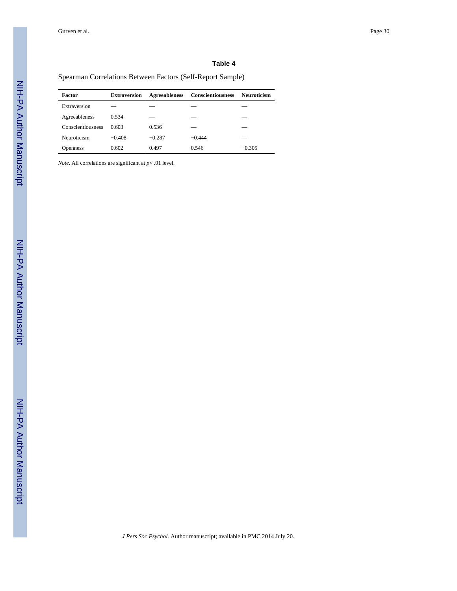#### Spearman Correlations Between Factors (Self-Report Sample)

| <b>Factor</b>     | <b>Extraversion</b> | <b>Agreeableness</b> | Conscientiousness | <b>Neuroticism</b> |
|-------------------|---------------------|----------------------|-------------------|--------------------|
| Extraversion      |                     |                      |                   |                    |
| Agreeableness     | 0.534               |                      |                   |                    |
| Conscientiousness | 0.603               | 0.536                |                   |                    |
| Neuroticism       | $-0.408$            | $-0.287$             | $-0.444$          |                    |
| <b>Openness</b>   | 0.602               | 0.497                | 0.546             | $-0.305$           |

*Note*. All correlations are significant at *p*< .01 level.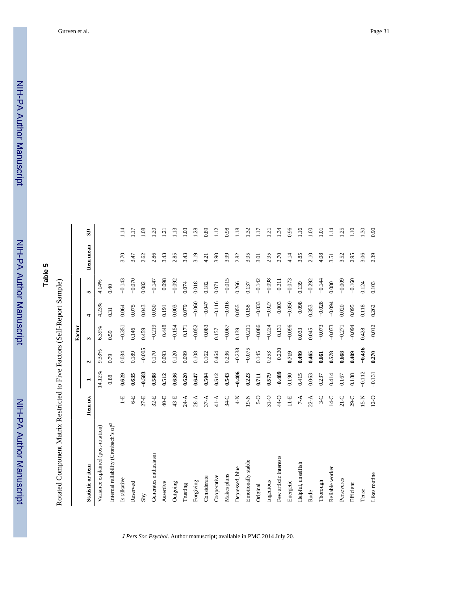Rotated Component Matrix Restricted to Five Factors (Self-Report Sample) Rotated Component Matrix Restricted to Five Factors (Self-Report Sample)

|                                                  |                |          |                    | Factor   |          |          |           |                  |
|--------------------------------------------------|----------------|----------|--------------------|----------|----------|----------|-----------|------------------|
| Statistic or item                                | Item no.       | -        | $\mathbf{\hat{c}}$ | 3        | 4        | in,      | Item mean | SD <sub>1</sub>  |
| Variance explained (post-rotation)               |                | 14.12%   | 9.33%              | 6.39%    | 4.23%    | 4.14%    |           |                  |
| Internal reliability (Cronbach's a) <sup>a</sup> |                | 0.88     | 0.79               | 0.59     | 0.31     | 0.40     |           |                  |
| Is talkative                                     | $\frac{1}{1}$  | 0.629    | 0.034              | $-0.351$ | 0.064    | $-0.143$ | 3.70      | 1.14             |
| Reserved                                         | $6 - E$        | 0.635    | 0.189              | 0.146    | 0.075    | $-0.070$ | 3.47      | 1.17             |
| $\mathrm{Shy}$                                   | $27-E$         | $-0.583$ | $-0.005$           | 0.459    | 0.043    | 0.082    | 2.62      | 1.08             |
| Generates enthusiasm                             | $32-E$         | 0.588    | 0.170              | $-0.219$ | 0.030    | $-0.147$ | 2.86      | 1.20             |
| Assertive                                        | 40-E           | 0.512    | 0.093              | $-0.448$ | 0.191    | $-0.098$ | 3.43      | $\overline{2}$   |
| Outgoing                                         | 43-E           | 0.636    | 0.120              | $-0.154$ | 0.003    | $-0.092$ | 2.85      | 113              |
| Trusting                                         | $24-A$         | 0.620    | 0.099              | $-0.171$ | 0.079    | 0.074    | 3.43      | 1.03             |
| Forgiving                                        | $28-A$         | 0.647    | 0.108              | $-0.052$ | $-0.060$ | 0.018    | 3.19      | 1.28             |
| Considerate                                      | $37-A$         | 0.504    | 0.162              | $-0.083$ | $-0.047$ | 0.182    | 4.21      | 0.89             |
| Cooperative                                      | $41-A$         | 0.512    | 0.464              | 0.157    | $-0.116$ | 0.071    | 3.90      | 1.12             |
| Makes plans                                      | $34-C$         | 0.543    | 0.236              | $-0.067$ | $-0.016$ | $-0.015$ | 3.99      | 0.98             |
| Depressed, blue                                  | $\frac{1}{4}$  | $-0.406$ | $-0.238$           | 0.139    | 0.055    | 0.266    | 2.82      | 1.18             |
| Emotionally stable                               | 19-N           | 0.223    | $-0.075$           | $-0.211$ | 0.158    | 0.137    | 3.95      | 1.32             |
| Original                                         | $5-0$          | 0.711    | 0.145              | $-0.086$ | $-0.033$ | $-0.142$ | 3.01      | 1.17             |
| Ingenious                                        | $31 - 0$       | 0.579    | 0.253              | $-0.224$ | $-0.027$ | $-0.098$ | 2.95      | 1.21             |
| Few artistic interests                           | 44-0           | $-0.489$ | $-0.220$           | $-0.131$ | $-0.003$ | $-0.211$ | 2.70      | 1.34             |
| Energetic                                        | $\frac{1}{11}$ | 0.190    | 0.719              | $-0.096$ | $-0.050$ | $-0.073$ | 4.14      | 0.96             |
| Helpful, unselfish                               | $7-A$          | 0.415    | 0.499              | 0.033    | $-0.098$ | 0.139    | 3.85      | 1.16             |
| Rude                                             | $22-A$         | 0.063    | 0.465              | 0.045    | 0.353    | $-0.292$ | 2.10      | 00.1             |
| Thorough                                         | $3-C$          | 0.237    | 0.661              | $-0.073$ | $-0.028$ | $-0.144$ | 4.08      | $\overline{101}$ |
| Reliable worker                                  | $14-C$         | 0.414    | 0.578              | $-0.073$ | $-0.094$ | 0.080    | 3.51      | 1.14             |
| Perseveres                                       | $21-C$         | 0.167    | 0.668              | $-0.271$ | 0.020    | $-0.009$ | 3.52      | 1.25             |
| Efficient                                        | 29-C           | 0.188    | 0.409              | $-0.094$ | 0.095    | $-0.160$ | 2.95      | 1.10             |
| Tense                                            | $N-51$         | $-0.112$ | $-0.436$           | 0.428    | 0.118    | 0.124    | 3.06      | 1.30             |
| Likes routine                                    | $12 - 0$       | $-0.131$ | 0.270              | $-0.012$ | 0.262    | 0.103    | 2.39      | 0.90             |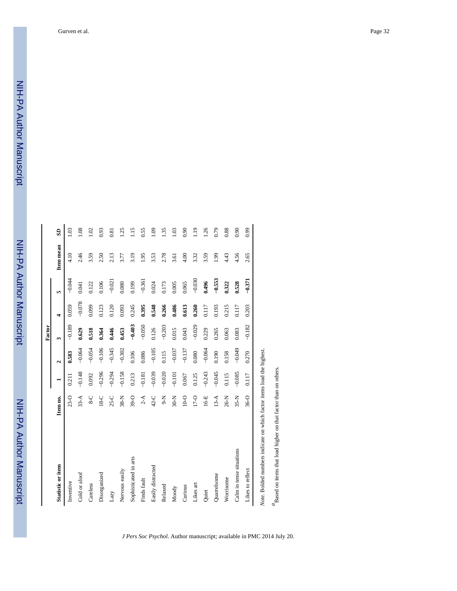|                          |                |          |          | Factor   |          |          |           |      |
|--------------------------|----------------|----------|----------|----------|----------|----------|-----------|------|
| Statistic or item        | Item no.       |          | Ν        | ω        | 4        | S.       | Item mean | SD   |
| Inventive                | $23 - 0$       | 0.211    | 0.583    | $-0.189$ | 0.059    | $-0.044$ | 4.10      | 1.03 |
| Cold or aloof            | $33-A$         | $-0.148$ | $-0.064$ | 0.629    | $-0.078$ | 0.041    | 2.46      | 1.08 |
| Careless                 | $\frac{1}{8}$  | 0.092    | $-0.054$ | 0.518    | 0.099    | 0.122    | 3.59      | 1.02 |
| Disorganized             | $18-C$         | $-0.296$ | $-0.106$ | 0.364    | 0.123    | 0.106    | 2.50      | 0.93 |
| Lazy                     | $25-C$         | $-0.294$ | $-0.345$ | 0.446    | 0.120    | $-0.021$ | 2.13      | 0.81 |
| Nervous easily           | 38-N           | $-0.158$ | $-0.302$ | 0.453    | 0.093    | 0.080    | 3.77      | 1.25 |
| Sophisticated in arts    | $39 - 0$       | 0.213    | 0.106    | $-0.403$ | 0.245    | 0.199    | 3.19      | 1.15 |
| Finds fault              | $2-A$          | $-0.181$ | 0.086    | $-0.050$ | 0.395    | $-0.361$ | 1.95      | 0.55 |
| Easily distracted        | 42-C           | $-0.039$ | $-0.105$ | 0.126    | 0.548    | 0.024    | 3.53      | 1.09 |
| Relaxed                  | $\overline{A}$ | $-0.020$ | 0.115    | $-0.203$ | 0.266    | 0.173    | 2.78      | 1.35 |
| Moody                    | 30-N           | $-0.101$ | $-0.037$ | 0.015    | 0.486    | 0.005    | 3.61      | 1.03 |
| Curious                  | $10-0$         | 0.067    | $-0.137$ | 0.043    | 0.613    | 0.065    | 4.00      | 0.90 |
| Likes art                | $17-0$         | 0.125    | 0.080    | $-0.029$ | 0.260    | $-0.030$ | 3.32      | 1.19 |
| Quiet                    | $16-E$         | $-0.243$ | $-0.064$ | 0.229    | 0.117    | 0.496    | 3.59      | 1.26 |
| Quarrelsome              | $13-A$         | $-0.045$ | 0.190    | 0.265    | 0.193    | $-0.553$ | 1.99      | 0.79 |
| Worrisome                | 26-N           | 0.115    | 0.158    | 0.063    | 0.215    | 0.322    | 4.43      | 0.88 |
| Calm in tense situations | 35-N           | $-0.085$ | $-0.049$ | 0.083    | 0.117    | 0.528    | 4.56      | 0.90 |
| Likes to reflect         | 36-0           | 0.117    | 0.270    | $-0.182$ | 0.203    | $-0.371$ | 2.65      | 0.99 |

Note. Bolded numbers indicate on which factor items load the highest. *Note*. Bolded numbers indicate on which factor items load the highest.

*J Pers Soc Psychol*. Author manuscript; available in PMC 2014 July 20.

 $^{\prime\prime}$  Based on items that load higher on that factor than on others.  $a<sup>a</sup>$ Based on items that load higher on that factor than on others.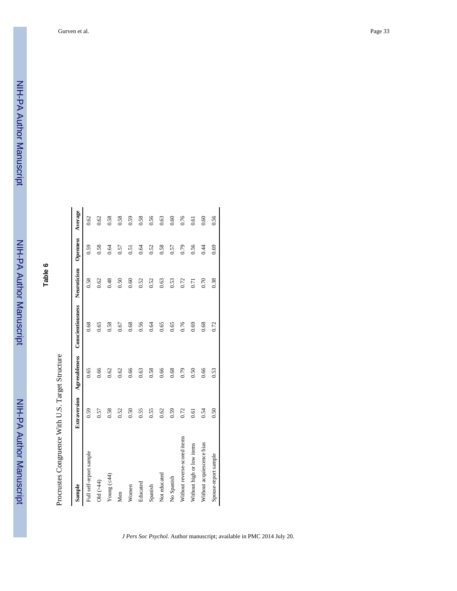| )<br>י<br>י<br>Ő<br>ļ |
|-----------------------|
| E<br>ここ<br>į          |
| :;;                   |
| へいちこうこう<br>l          |
| ĺ                     |

|                              | Extraversion | Agreeableness | Conscientiousness | Neuroticism | Openness | Average |
|------------------------------|--------------|---------------|-------------------|-------------|----------|---------|
| Full self-report sample      | 0.59         | 0.65          | 0.68              | 0.58        | 0.59     | 0.62    |
| Old (>44)                    | 0.57         | 0.66          | 0.65              | 0.62        | 0.58     | 0.62    |
| Young $(44)$                 | 0.58         | 0.62          | 0.58              | 0.48        | 0.64     | 0.58    |
| Men                          | 0.52         | 0.62          | 0.67              | 0.50        | 0.57     | 0.58    |
| Women                        | 0.50         | 0.66          | 0.68              | 0.60        | 0.51     | 0.59    |
| Educated                     | 0.55         | 0.63          | 0.56              | 0.52        | 0.64     | 0.58    |
| Spanish                      | 0.55         | 0.58          | 0.64              | 0.52        | 0.52     | 0.56    |
| Not educated                 | 0.62         | 0.66          | 0.65              | 0.63        | 0.58     | 0.63    |
| No Spanish                   | 0.59         | 0.68          | 0.65              | 0.53        | 0.57     | 0.60    |
| Without reverse-scored items | 0.72         | 0.79          | 0.76              | 0.72        | 0.79     | 0.76    |
| Without high or low items    | 0.61         | 0.50          | 0.69              | 0.71        | 0.56     | 0.61    |
| Without acquiescence bias    | 0.54         | 0.66          | 0.68              | 0.70        | 0.44     | 0.60    |
| Spouse-report sample         | 0.50         | 0.53          | 0.72              | 0.38        | 0.69     | 0.56    |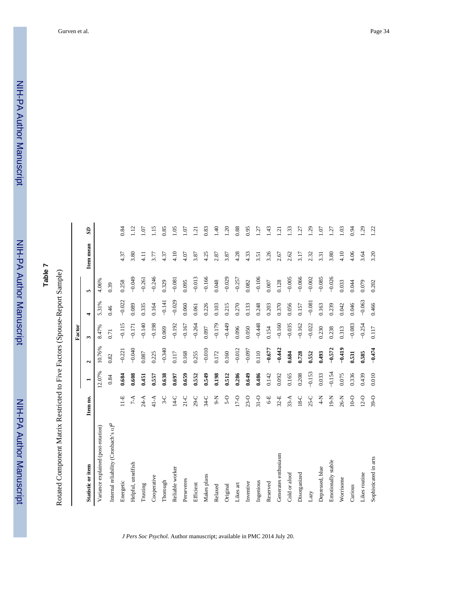Rotated Component Matrix Restricted to Five Factors (Spouse-Report Sample) Rotated Component Matrix Restricted to Five Factors (Spouse-Report Sample)

|                                                     |                |                          |                      | Factor   |          |          |           |                  |
|-----------------------------------------------------|----------------|--------------------------|----------------------|----------|----------|----------|-----------|------------------|
| Statistic or item                                   | Item no.       | $\overline{\phantom{0}}$ | $\mathbf{\tilde{c}}$ | 3        | 4        | ı,       | Item mean | SD               |
| Variance explained (post-rotation)                  |                | 12.07%                   | 10.76%               | 8.47%    | 5.31%    | 4.06%    |           |                  |
| Internal reliability (Cronbach's $a$ ) <sup>a</sup> |                | 0.84                     | 0.82                 | 0.71     | 0.46     | 0.39     |           |                  |
| Energetic                                           | $11-E$         | 0.684                    | $-0.221$             | $-0.115$ | $-0.022$ | 0.258    | 4.37      | 0.84             |
| Helpful, unselfish                                  | $7-A$          | 0.608                    | $-0.040$             | $-0.171$ | 0.089    | $-0.049$ | 3.80      | 1.12             |
| Trusting                                            | $24-A$         | 0.451                    | 0.087                | $-0.140$ | 0.335    | $-0.261$ | 4.11      | 1.07             |
| Cooperative                                         | $41-A$         | 0.557                    | 0.225                | $-0.198$ | 0.164    | $-0.246$ | 3.77      | 115              |
| Thorough                                            | 3-C            | 0.638                    | $-0.340$             | 0.069    | $-0.141$ | 0.329    | 4.37      | 0.85             |
| Reliable worker                                     | 14C            | $0.697$                  | 0.117                | $-0.192$ | $-0.029$ | $-0.081$ | 4.10      | 1.05             |
| Perseveres                                          | $21-C$         | 0.659                    | 0.168                | $-0.167$ | 0.060    | 0.095    | 4.07      | 1.07             |
| Efficient                                           | 29-C           | 0.552                    | 0.255                | $-0.264$ | 0.061    | $-0.013$ | 3.87      | $\overline{121}$ |
| Makes plans                                         | $34-C$         | 0.549                    | $-0.010$             | 0.097    | 0.226    | $-0.166$ | 4.25      | 0.83             |
| Relaxed                                             | $\overline{N}$ | 0.198                    | 0.172                | $-0.179$ | 0.103    | 0.048    | 2.87      | $0+1$            |
| Original                                            | $5-0$          | 0.512                    | 0.160                | $-0.449$ | 0.215    | $-0.029$ | 3.87      | 1.20             |
| Likes art                                           | $17-0$         | 0.286                    | $-0.012$             | 0.096    | 0.270    | $-0.257$ | 4.28      | 0.88             |
| Inventive                                           | $23 - 0$       | 0.649                    | $-0.097$             | 0.050    | 0.133    | 0.082    | 4.33      | 0.95             |
| Ingenious                                           | $31 - 0$       | 0.486                    | 0.110                | $-0.448$ | 0.248    | $-0.106$ | 3.51      | 1.27             |
| Reserved                                            | $6 - E$        | 0.142                    | $-0.677$             | 0.154    | 0.203    | 0.007    | 3.26      | 1.43             |
| Generates enthusiasm                                | $32-E$         | 0.092                    | $-0.442$             | $-0.160$ | 0.370    | 0.128    | 2.67      | $\overline{2}$   |
| Cold or aloof                                       | $33-A$         | 0.165                    | 0.684                | $-0.035$ | 0.056    | $-0.005$ | 2.62      | 1.33             |
| Disorganized                                        | $18-C$         | 0.208                    | 0.728                | $-0.162$ | 0.157    | $-0.066$ | 3.17      | 1.27             |
| Lazy                                                | $25-C$         | $-0.153$                 | 0.552                | $-0.022$ | $-0.081$ | $-0.002$ | 2.32      | 1.29             |
| Depressed, blue                                     | $4 - N$        | 0.033                    | 0.493                | 0.230    | 0.163    | $-0.085$ | 3.31      | 1.07             |
| Emotionally stable                                  | 19-N           | $-0.154$                 | $-0.572$             | 0.238    | 0.239    | $-0.026$ | 3.80      | 127              |
| Worrisome                                           | 26-N           | 0.075                    | $-0.419$             | 0.313    | 0.042    | 0.033    | 4.10      | 1.03             |
| Curious                                             | $10-0$         | 0.336                    | 0.531                | $-0.083$ | 0.046    | 0.044    | 4.06      | 0.94             |
| Likes routine                                       | $12 - 0$       | 0.439                    | 0.585                | $-0.254$ | $-0.063$ | 0.079    | 3.64      | 1.29             |
| Sophisticated in arts                               | 39-0           | 0.010                    | $-0.474$             | 0.117    | 0.466    | 0.202    | 3.20      | 1.22             |